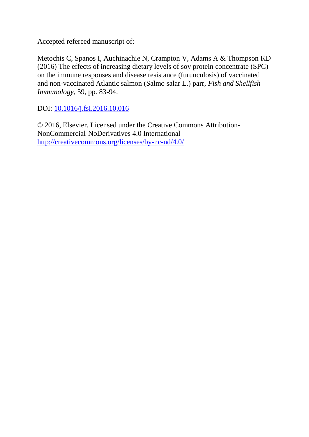Accepted refereed manuscript of:

Metochis C, Spanos I, Auchinachie N, Crampton V, Adams A & Thompson KD (2016) The effects of increasing dietary levels of soy protein concentrate (SPC) on the immune responses and disease resistance (furunculosis) of vaccinated and non-vaccinated Atlantic salmon (Salmo salar L.) parr, *Fish and Shellfish Immunology*, 59, pp. 83-94.

DOI: [10.1016/j.fsi.2016.10.016](http://dx.doi.org/10.1016/j.fsi.2016.10.016)

© 2016, Elsevier. Licensed under the Creative Commons Attribution-NonCommercial-NoDerivatives 4.0 International <http://creativecommons.org/licenses/by-nc-nd/4.0/>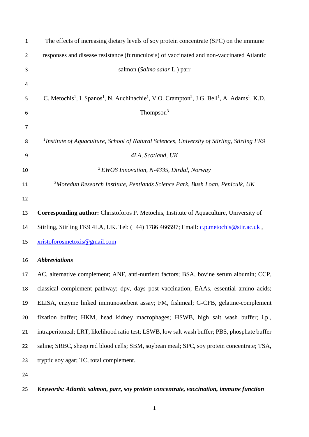| $\mathbf{1}$ | The effects of increasing dietary levels of soy protein concentrate (SPC) on the immune                                                                              |
|--------------|----------------------------------------------------------------------------------------------------------------------------------------------------------------------|
| 2            | responses and disease resistance (furunculosis) of vaccinated and non-vaccinated Atlantic                                                                            |
| 3            | salmon (Salmo salar L.) parr                                                                                                                                         |
| 4            |                                                                                                                                                                      |
| 5            | C. Metochis <sup>1</sup> , I. Spanos <sup>1</sup> , N. Auchinachie <sup>1</sup> , V.O. Crampton <sup>2</sup> , J.G. Bell <sup>1</sup> , A. Adams <sup>1</sup> , K.D. |
| 6            | Thompson <sup>3</sup>                                                                                                                                                |
| 7            |                                                                                                                                                                      |
| 8            | <sup>1</sup> Institute of Aquaculture, School of Natural Sciences, University of Stirling, Stirling FK9                                                              |
| 9            | 4LA, Scotland, UK                                                                                                                                                    |
| 10           | <sup>2</sup> EWOS Innovation, N-4335, Dirdal, Norway                                                                                                                 |
| 11           | <sup>3</sup> Moredun Research Institute, Pentlands Science Park, Bush Loan, Penicuik, UK                                                                             |
| 12           |                                                                                                                                                                      |
| 13           | Corresponding author: Christoforos P. Metochis, Institute of Aquaculture, University of                                                                              |
| 14           | Stirling, Stirling FK9 4LA, UK. Tel: (+44) 1786 466597; Email: c.p.metochis@stir.ac.uk,                                                                              |
| 15           | xristoforosmetoxis@gmail.com                                                                                                                                         |
| 16           | <b>Abbreviations</b>                                                                                                                                                 |
| 17           | AC, alternative complement; ANF, anti-nutrient factors; BSA, bovine serum albumin; CCP,                                                                              |
| 18           | classical complement pathway; dpv, days post vaccination; EAAs, essential amino acids;                                                                               |
| 19           | ELISA, enzyme linked immunosorbent assay; FM, fishmeal; G-CFB, gelatine-complement                                                                                   |
| 20           | fixation buffer; HKM, head kidney macrophages; HSWB, high salt wash buffer; i.p.,                                                                                    |
| 21           | intraperitoneal; LRT, likelihood ratio test; LSWB, low salt wash buffer; PBS, phosphate buffer                                                                       |
| 22           | saline; SRBC, sheep red blood cells; SBM, soybean meal; SPC, soy protein concentrate; TSA,                                                                           |
| 23           | tryptic soy agar; TC, total complement.                                                                                                                              |
| 24           |                                                                                                                                                                      |
|              |                                                                                                                                                                      |

# *Keywords: Atlantic salmon, parr, soy protein concentrate, vaccination, immune function*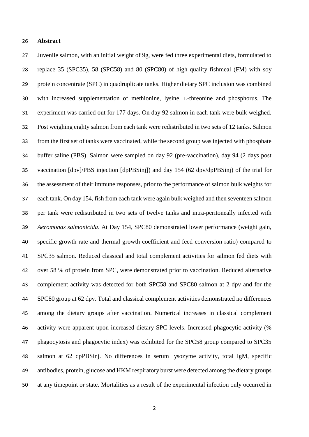### **Abstract**

 Juvenile salmon, with an initial weight of 9g, were fed three experimental diets, formulated to replace 35 (SPC35), 58 (SPC58) and 80 (SPC80) of high quality fishmeal (FM) with soy protein concentrate (SPC) in quadruplicate tanks. Higher dietary SPC inclusion was combined with increased supplementation of methionine, lysine, L-threonine and phosphorus. The experiment was carried out for 177 days. On day 92 salmon in each tank were bulk weighed. Post weighing eighty salmon from each tank were redistributed in two sets of 12 tanks. Salmon from the first set of tanks were vaccinated, while the second group was injected with phosphate buffer saline (PBS). Salmon were sampled on day 92 (pre-vaccination), day 94 (2 days post vaccination [dpv]/PBS injection [dpPBSinj]) and day 154 (62 dpv/dpPBSinj) of the trial for the assessment of their immune responses, prior to the performance of salmon bulk weights for each tank. On day 154, fish from each tank were again bulk weighed and then seventeen salmon per tank were redistributed in two sets of twelve tanks and intra-peritoneally infected with *Aeromonas salmonicida*. At Day 154, SPC80 demonstrated lower performance (weight gain, specific growth rate and thermal growth coefficient and feed conversion ratio) compared to SPC35 salmon. Reduced classical and total complement activities for salmon fed diets with over 58 % of protein from SPC, were demonstrated prior to vaccination. Reduced alternative complement activity was detected for both SPC58 and SPC80 salmon at 2 dpv and for the SPC80 group at 62 dpv. Total and classical complement activities demonstrated no differences among the dietary groups after vaccination. Numerical increases in classical complement activity were apparent upon increased dietary SPC levels. Increased phagocytic activity (% phagocytosis and phagocytic index) was exhibited for the SPC58 group compared to SPC35 salmon at 62 dpPBSinj. No differences in serum lysozyme activity, total IgM, specific antibodies, protein, glucose and HKM respiratory burst were detected among the dietary groups at any timepoint or state. Mortalities as a result of the experimental infection only occurred in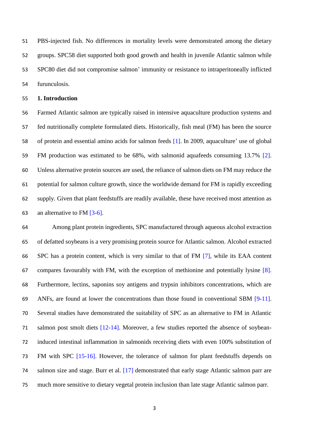PBS-injected fish. No differences in mortality levels were demonstrated among the dietary groups. SPC58 diet supported both good growth and health in juvenile Atlantic salmon while SPC80 diet did not compromise salmon' immunity or resistance to intraperitoneally inflicted furunculosis.

### **1. Introduction**

 Farmed Atlantic salmon are typically raised in intensive aquaculture production systems and fed nutritionally complete formulated diets. Historically, fish meal (FM) has been the source of protein and essential amino acids for salmon feeds [1]. In 2009, aquaculture' use of global FM production was estimated to be 68%, with salmonid aquafeeds consuming 13.7% [2]. Unless alternative protein sources are used, the reliance of salmon diets on FM may reduce the potential for salmon culture growth, since the worldwide demand for FM is rapidly exceeding supply. Given that plant feedstuffs are readily available, these have received most attention as an alternative to FM [3-6].

 Among plant protein ingredients, SPC manufactured through aqueous alcohol extraction of defatted soybeans is a very promising protein source for Atlantic salmon. Alcohol extracted SPC has a protein content, which is very similar to that of FM [7], while its EAA content compares favourably with FM, with the exception of methionine and potentially lysine [8]. Furthermore, lectins, saponins soy antigens and trypsin inhibitors concentrations, which are ANFs, are found at lower the concentrations than those found in conventional SBM [9-11]. Several studies have demonstrated the suitability of SPC as an alternative to FM in Atlantic salmon post smolt diets [12-14]. Moreover, a few studies reported the absence of soybean- induced intestinal inflammation in salmonids receiving diets with even 100% substitution of FM with SPC [15-16]. However, the tolerance of salmon for plant feedstuffs depends on salmon size and stage. Burr et al. [17] demonstrated that early stage Atlantic salmon parr are much more sensitive to dietary vegetal protein inclusion than late stage Atlantic salmon parr.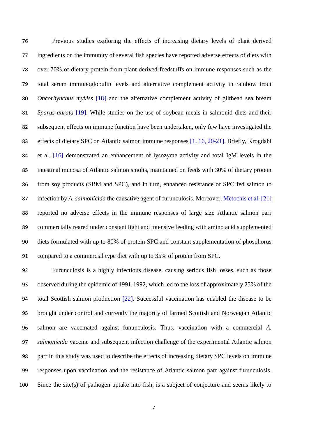Previous studies exploring the effects of increasing dietary levels of plant derived ingredients on the immunity of several fish species have reported adverse effects of diets with over 70% of dietary protein from plant derived feedstuffs on immune responses such as the total serum immunoglobulin levels and alternative complement activity in rainbow trout *Oncorhynchus mykiss* [18] and the alternative complement activity of gilthead sea bream *Sparus aurata* [19]. While studies on the use of soybean meals in salmonid diets and their subsequent effects on immune function have been undertaken, only few have investigated the 83 effects of dietary SPC on Atlantic salmon immune responses [1, 16, 20-21]. Briefly, Krogdahl et al. [16] demonstrated an enhancement of lysozyme activity and total IgM levels in the intestinal mucosa of Atlantic salmon smolts, maintained on feeds with 30% of dietary protein from soy products (SBM and SPC), and in turn, enhanced resistance of SPC fed salmon to infection by *A. salmonicida* the causative agent of furunculosis. Moreover, Metochis et al. [21] reported no adverse effects in the immune responses of large size Atlantic salmon parr commercially reared under constant light and intensive feeding with amino acid supplemented diets formulated with up to 80% of protein SPC and constant supplementation of phosphorus compared to a commercial type diet with up to 35% of protein from SPC.

 Furunculosis is a highly infectious disease, causing serious fish losses, such as those observed during the epidemic of 1991-1992, which led to the loss of approximately 25% of the total Scottish salmon production [22]. Successful vaccination has enabled the disease to be brought under control and currently the majority of farmed Scottish and Norwegian Atlantic salmon are vaccinated against fununculosis. Thus, vaccination with a commercial *A. salmonicida* vaccine and subsequent infection challenge of the experimental Atlantic salmon parr in this study was used to describe the effects of increasing dietary SPC levels on immune responses upon vaccination and the resistance of Atlantic salmon parr against furunculosis. Since the site(s) of pathogen uptake into fish, is a subject of conjecture and seems likely to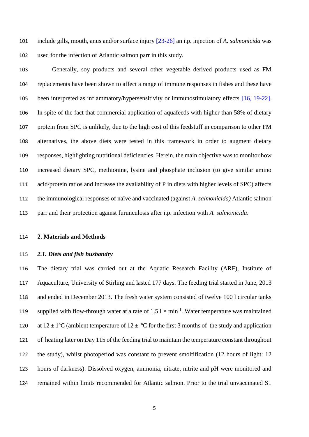include gills, mouth, anus and/or surface injury [23-26] an i.p. injection of *A. salmonicida* was used for the infection of Atlantic salmon parr in this study.

 Generally, soy products and several other vegetable derived products used as FM replacements have been shown to affect a range of immune responses in fishes and these have been interpreted as inflammatory/hypersensitivity or immunostimulatory effects [16, 19-22]. In spite of the fact that commercial application of aquafeeds with higher than 58% of dietary protein from SPC is unlikely, due to the high cost of this feedstuff in comparison to other FM alternatives, the above diets were tested in this framework in order to augment dietary responses, highlighting nutritional deficiencies. Herein, the main objective was to monitor how increased dietary SPC, methionine, lysine and phosphate inclusion (to give similar amino acid/protein ratios and increase the availability of P in diets with higher levels of SPC) affects the immunological responses of naïve and vaccinated (against *A. salmonicida)* Atlantic salmon parr and their protection against furunculosis after i.p. infection with *A. salmonicida*.

**2. Materials and Methods**

### *2.1. Diets and fish husbandry*

 The dietary trial was carried out at the Aquatic Research Facility (ARF), Institute of Aquaculture, University of Stirling and lasted 177 days. The feeding trial started in June, 2013 and ended in December 2013. The fresh water system consisted of twelve 100 l circular tanks 119 supplied with flow-through water at a rate of  $1.5 \text{ l} \times \text{min}^{-1}$ . Water temperature was maintained 120 at  $12 \pm 1$ °C (ambient temperature of  $12 \pm$  °C for the first 3 months of the study and application of heating later on Day 115 of the feeding trial to maintain the temperature constant throughout the study), whilst photoperiod was constant to prevent smoltification (12 hours of light: 12 hours of darkness). Dissolved oxygen, ammonia, nitrate, nitrite and pH were monitored and remained within limits recommended for Atlantic salmon. Prior to the trial unvaccinated S1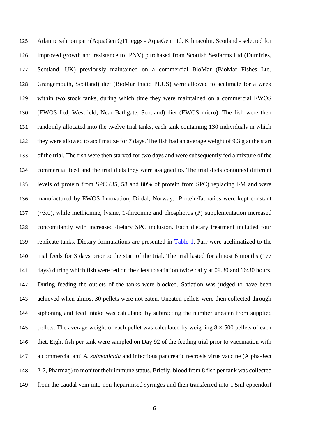Atlantic salmon parr (AquaGen QTL eggs - AquaGen Ltd, Kilmacolm, Scotland - selected for improved growth and resistance to IPNV) purchased from Scottish Seafarms Ltd (Dumfries, Scotland, UK) previously maintained on a commercial BioMar (BioMar Fishes Ltd, Grangemouth, Scotland) diet (BioMar Inicio PLUS) were allowed to acclimate for a week within two stock tanks, during which time they were maintained on a commercial EWOS (EWOS Ltd, Westfield, Near Bathgate, Scotland) diet (EWOS micro). The fish were then randomly allocated into the twelve trial tanks, each tank containing 130 individuals in which they were allowed to acclimatize for 7 days. The fish had an average weight of 9.3 g at the start of the trial. The fish were then starved for two days and were subsequently fed a mixture of the commercial feed and the trial diets they were assigned to. The trial diets contained different levels of protein from SPC (35, 58 and 80% of protein from SPC) replacing FM and were manufactured by EWOS Innovation, Dirdal, Norway. Protein/fat ratios were kept constant (~3.0), while methionine, lysine, L-threonine and phosphorus (P) supplementation increased concomitantly with increased dietary SPC inclusion. Each dietary treatment included four replicate tanks. Dietary formulations are presented in Table 1. Parr were acclimatized to the trial feeds for 3 days prior to the start of the trial. The trial lasted for almost 6 months (177 days) during which fish were fed on the diets to satiation twice daily at 09.30 and 16:30 hours. During feeding the outlets of the tanks were blocked. Satiation was judged to have been achieved when almost 30 pellets were not eaten. Uneaten pellets were then collected through siphoning and feed intake was calculated by subtracting the number uneaten from supplied 145 pellets. The average weight of each pellet was calculated by weighing  $8 \times 500$  pellets of each diet. Eight fish per tank were sampled on Day 92 of the feeding trial prior to vaccination with a commercial anti *A. salmonicida* and infectious pancreatic necrosis virus vaccine (Alpha-Ject 2-2, Pharmaq) to monitor their immune status. Briefly, blood from 8 fish per tank was collected from the caudal vein into non-heparinised syringes and then transferred into 1.5ml eppendorf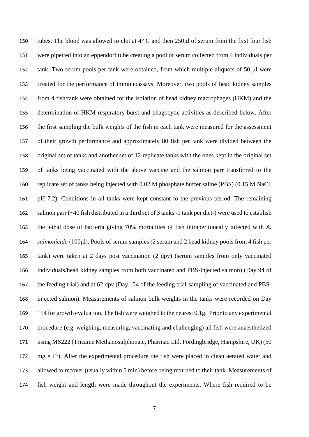150 tubes. The blood was allowed to clot at  $4^{\circ}$  C and then 250 $\mu$ l of serum from the first four fish were pipetted into an eppendorf tube creating a pool of serum collected from 4 individuals per tank. Two serum pools per tank were obtained, from which multiple aliquots of 50 μl were created for the performance of immunoassays. Moreover, two pools of head kidney samples from 4 fish/tank were obtained for the isolation of head kidney macrophages (HKM) and the determination of HKM respiratory burst and phagocytic activities as described below. After the first sampling the bulk weights of the fish in each tank were measured for the assessment of their growth performance and approximately 80 fish per tank were divided between the original set of tanks and another set of 12 replicate tanks with the ones kept in the original set of tanks being vaccinated with the above vaccine and the salmon parr transferred to the replicate set of tanks being injected with 0.02 M phosphate buffer saline (PBS) (0.15 M NaCl, pH 7.2). Conditions in all tanks were kept constant to the previous period. The remaining salmon parr (~40 fish distributed in a third set of 3 tanks -1 tank per diet-) were used to establish the lethal dose of bacteria giving 70% mortalities of fish intraperitoneally infected with *A. salmonicida* (100μl). Pools of serum samples (2 serum and 2 head kidney pools from 4 fish per tank) were taken at 2 days post vaccination (2 dpv) (serum samples from only vaccinated individuals/head kidney samples from both vaccinated and PBS-injected salmon) (Day 94 of the feeding trial) and at 62 dpv (Day 154 of the feeding trial-sampling of vaccinated and PBS- injected salmon). Measurements of salmon bulk weights in the tanks were recorded on Day 154 for growth evaluation. The fish were weighed to the nearest 0.1g. Prior to any experimental procedure (e.g. weighing, measuring, vaccinating and challenging) all fish were anaesthetized using MS222 (Tricaine Methanosulphonate, Pharmaq Ltd, Fordingbridge, Hampshire, UK) (50  $\text{mg} \times 1^{-1}$ ). After the experimental procedure the fish were placed in clean aerated water and allowed to recover (usually within 5 min) before being returned to their tank. Measurements of fish weight and length were made throughout the experiments. Where fish required to be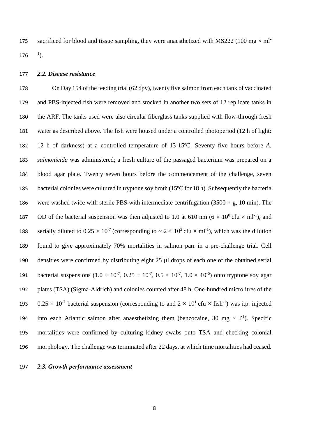sacrificed for blood and tissue sampling, they were anaesthetized with MS222 (100 mg  $\times$  ml<sup>-</sup>  $^{1}$ ). 

### *2.2. Disease resistance*

 On Day 154 of the feeding trial (62 dpv), twenty five salmon from each tank of vaccinated and PBS-injected fish were removed and stocked in another two sets of 12 replicate tanks in the ARF. The tanks used were also circular fiberglass tanks supplied with flow-through fresh water as described above. The fish were housed under a controlled photoperiod (12 h of light: 12 h of darkness) at a controlled temperature of 13-15ºC. Seventy five hours before *A. salmonicida* was administered; a fresh culture of the passaged bacterium was prepared on a blood agar plate. Twenty seven hours before the commencement of the challenge, seven bacterial colonies were cultured in tryptone soy broth (15ºC for 18 h). Subsequently the bacteria 186 were washed twice with sterile PBS with intermediate centrifugation  $(3500 \times g, 10 \text{ min})$ . The 187 OD of the bacterial suspension was then adjusted to 1.0 at 610 nm ( $6 \times 10^8$  cfu  $\times$  ml<sup>-1</sup>), and 188 serially diluted to  $0.25 \times 10^{-7}$  (corresponding to  $\sim 2 \times 10^{2}$  cfu  $\times$  ml<sup>-1</sup>), which was the dilution found to give approximately 70% mortalities in salmon parr in a pre-challenge trial. Cell densities were confirmed by distributing eight 25 μl drops of each one of the obtained serial 191 bacterial suspensions  $(1.0 \times 10^{-7}, 0.25 \times 10^{-7}, 0.5 \times 10^{-7}, 1.0 \times 10^{-6})$  onto tryptone soy agar plates (TSA) (Sigma-Aldrich) and colonies counted after 48 h. One-hundred microlitres of the 193 0.25  $\times$  10<sup>-7</sup> bacterial suspension (corresponding to and  $2 \times 10^{1}$  cfu  $\times$  fish<sup>-1</sup>) was i.p. injected 194 into each Atlantic salmon after anaesthetizing them (benzocaine, 30 mg  $\times$  1<sup>-1</sup>). Specific mortalities were confirmed by culturing kidney swabs onto TSA and checking colonial morphology. The challenge was terminated after 22 days, at which time mortalities had ceased.

*2.3. Growth performance assessment*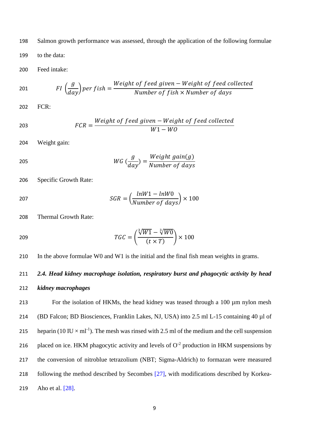198 Salmon growth performance was assessed, through the application of the following formulae

199 to the data:

200 Feed intake:

201 
$$
FI\left(\frac{g}{day}\right)per fish = \frac{Weight\ of\ feed\ given - Weight\ of\ feed\ collected}{Number\ of\ fish \times Number\ of\ days}
$$

202 FCR:

$$
FCR = \frac{Weight\ of\ feed\ given - Weight\ of\ feed\ collected}{W1 - W0}
$$

204 Weight gain:

$$
WG \left(\frac{g}{day}\right) = \frac{Weight \ gain(g)}{Number \ of \ days}
$$

206 Specific Growth Rate:

$$
SGR = \left(\frac{lnW1 - lnW0}{Number\ of\ days}\right) \times 100
$$

208 Thermal Growth Rate:

$$
TGC = \left(\frac{\sqrt[3]{W1} - \sqrt[3]{W0}}{(t \times T)}\right) \times 100
$$

210 In the above formulae W0 and W1 is the initial and the final fish mean weights in grams.

# 211 *2.4. Head kidney macrophage isolation, respiratory burst and phagocytic activity by head*

# 212 *kidney macrophages*

213 For the isolation of HKMs, the head kidney was teased through a 100 µm nylon mesh 214 (BD Falcon; BD Biosciences, Franklin Lakes, NJ, USA) into 2.5 ml L-15 containing 40 µl of 215 heparin (10 IU  $\times$  ml<sup>-1</sup>). The mesh was rinsed with 2.5 ml of the medium and the cell suspension 216 placed on ice. HKM phagocytic activity and levels of  $O<sup>-2</sup>$  production in HKM suspensions by 217 the conversion of nitroblue tetrazolium (NBT; Sigma-Aldrich) to formazan were measured 218 following the method described by Secombes [27], with modifications described by Korkea-219 Aho et al. [28].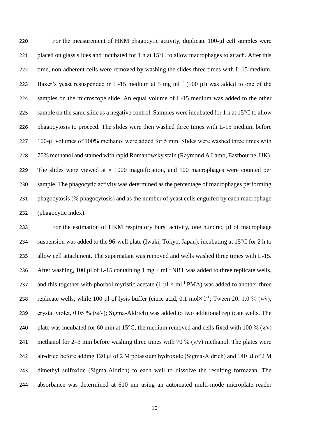For the measurement of HKM phagocytic activity, duplicate 100-μl cell samples were 221 placed on glass slides and incubated for 1 h at  $15^{\circ}$ C to allow macrophages to attach. After this 222 time, non-adherent cells were removed by washing the slides three times with L-15 medium. 223 Baker's yeast resuspended in L-15 medium at 5 mg ml<sup>-1</sup> (100 μl) was added to one of the samples on the microscope slide. An equal volume of L-15 medium was added to the other 225 sample on the same slide as a negative control. Samples were incubated for 1 h at 15<sup>o</sup>C to allow phagocytosis to proceed. The slides were then washed three times with L-15 medium before 100-μl volumes of 100% methanol were added for 5 min. Slides were washed three times with 70% methanol and stained with rapid Romanowsky stain (Raymond A Lamb, Eastbourne, UK). 229 The slides were viewed at  $\times$  1000 magnification, and 100 macrophages were counted per sample. The phagocytic activity was determined as the percentage of macrophages performing phagocytosis (% phagocytosis) and as the number of yeast cells engulfed by each macrophage (phagocytic index).

233 For the estimation of HKM respiratory burst activity, one hundred µl of macrophage 234 suspension was added to the 96-well plate (Iwaki, Tokyo, Japan), incubating at 15°C for 2 h to 235 allow cell attachment. The supernatant was removed and wells washed three times with L-15. 236 After washing, 100 µl of L-15 containing 1 mg  $\times$  ml<sup>-1</sup> NBT was added to three replicate wells, 237 and this together with phorbol myristic acetate (1  $\mu$ l × ml<sup>-1</sup> PMA) was added to another three 238 replicate wells, while 100 µl of lysis buffer (citric acid, 0.1 mol×  $1^{-1}$ ; Tween 20, 1.0 % (v/v); 239 crystal violet, 0.05 % (w⁄v); Sigma-Aldrich) was added to two additional replicate wells. The 240 plate was incubated for 60 min at 15 $^{\circ}$ C, the medium removed and cells fixed with 100 % (v/v) 241 methanol for 2–3 min before washing three times with 70 %  $(v/v)$  methanol. The plates were 242 air-dried before adding 120 μl of 2 M potassium hydroxide (Sigma-Aldrich) and 140 μl of 2 M 243 dimethyl sulfoxide (Sigma-Aldrich) to each well to dissolve the resulting formazan. The 244 absorbance was determined at 610 nm using an automated multi-mode microplate reader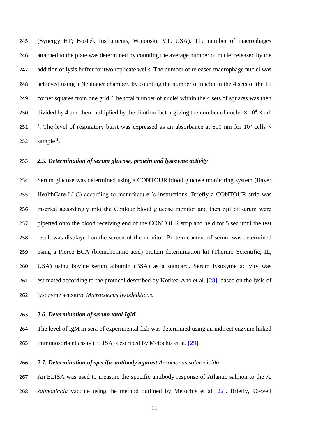(Synergy HT; BioTek Instruments, Winooski, VT, USA). The number of macrophages attached to the plate was determined by counting the average number of nuclei released by the 247 addition of lysis buffer for two replicate wells. The number of released macrophage nuclei was achieved using a Neubauer chamber, by counting the number of nuclei in the 4 sets of the 16 corner squares from one grid. The total number of nuclei within the 4 sets of squares was then divided by 4 and then multiplied by the dilution factor giving the number of nuclei  $\times 10^4 \times$  ml<sup>-</sup> 251 <sup>1</sup>. The level of respiratory burst was expressed as an absorbance at 610 nm for 10<sup>5</sup> cells  $\times$ 252  $\text{sample}^{-1}$ .

### *2.5. Determination of serum glucose, protein and lysozyme activity*

 Serum glucose was determined using a CONTOUR blood glucose monitoring system (Bayer HealthCare LLC) according to manufacturer's instructions. Briefly a CONTOUR strip was inserted accordingly into the Contour blood glucose monitor and then 5μl of serum were pipetted onto the blood receiving end of the CONTOUR strip and held for 5 sec until the test result was displayed on the screen of the monitor. Protein content of serum was determined using a Pierce BCA (bicinchoninic acid) protein determination kit (Thermo Scientific, IL, USA) using bovine serum albumin (BSA) as a standard. Serum lysozyme activity was 261 estimated according to the protocol described by Korkea-Aho et al. [28], based on the lysis of lysozyme sensitive *Micrococcus lysodeikticus*.

### *2.6. Determination of serum total IgM*

 The level of IgM in sera of experimental fish was determined using an indirect enzyme linked immunosorbent assay (ELISA) described by Metochis et al. [29].

# *2.7. Determination of specific antibody against Aeromonas salmonicida*

 An ELISA was used to measure the specific antibody response of Atlantic salmon to the *A. salmonicida* vaccine using the method outlined by Metochis et al [22]. Briefly, 96-well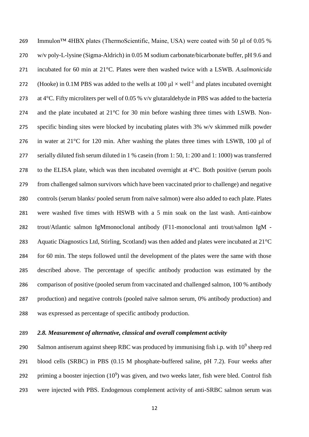Immulon™ 4HBX plates (ThermoScientific, Maine, USA) were coated with 50 µl of 0.05 % w/v poly-L-lysine (Sigma-Aldrich) in 0.05 M sodium carbonate/bicarbonate buffer, pH 9.6 and incubated for 60 min at 21°C. Plates were then washed twice with a LSWB. *A.salmonicida* 272 (Hooke) in 0.1M PBS was added to the wells at 100  $\mu$ l  $\times$  well<sup>-1</sup> and plates incubated overnight 273 at 4°C. Fifty microliters per well of 0.05 % v/v glutaraldehyde in PBS was added to the bacteria and the plate incubated at 21°C for 30 min before washing three times with LSWB. Non- specific binding sites were blocked by incubating plates with 3% w/v skimmed milk powder 276 in water at  $21^{\circ}$ C for 120 min. After washing the plates three times with LSWB, 100 µl of serially diluted fish serum diluted in 1 % casein (from 1: 50, 1: 200 and 1: 1000) was transferred 278 to the ELISA plate, which was then incubated overnight at  $4^{\circ}$ C. Both positive (serum pools from challenged salmon survivors which have been vaccinated prior to challenge) and negative controls (serum blanks/ pooled serum from naïve salmon) were also added to each plate. Plates were washed five times with HSWB with a 5 min soak on the last wash. Anti-rainbow trout/Atlantic salmon IgMmonoclonal antibody (F11-monoclonal anti trout/salmon IgM - Aquatic Diagnostics Ltd, Stirling, Scotland) was then added and plates were incubated at 21°C for 60 min. The steps followed until the development of the plates were the same with those described above. The percentage of specific antibody production was estimated by the comparison of positive (pooled serum from vaccinated and challenged salmon, 100 % antibody production) and negative controls (pooled naïve salmon serum, 0% antibody production) and was expressed as percentage of specific antibody production.

### *2.8. Measurement of alternative, classical and overall complement activity*

290 Salmon antiserum against sheep RBC was produced by immunising fish i.p. with  $10^9$  sheep red blood cells (SRBC) in PBS (0.15 M phosphate-buffered saline, pH 7.2). Four weeks after 292 priming a booster injection  $(10^9)$  was given, and two weeks later, fish were bled. Control fish were injected with PBS. Endogenous complement activity of anti-SRBC salmon serum was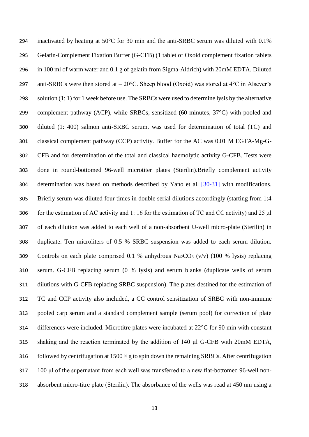inactivated by heating at 50°C for 30 min and the anti-SRBC serum was diluted with 0.1% Gelatin-Complement Fixation Buffer (G-CFB) (1 tablet of Oxoid complement fixation tablets in 100 ml of warm water and 0.1 g of gelatin from Sigma-Aldrich) with 20mM EDTA. Diluted 297 anti-SRBCs were then stored at  $-20^{\circ}$ C. Sheep blood (Oxoid) was stored at 4 $^{\circ}$ C in Alsever's solution (1: 1) for 1 week before use. The SRBCs were used to determine lysis by the alternative complement pathway (ACP), while SRBCs, sensitized (60 minutes, 37°C) with pooled and diluted (1: 400) salmon anti-SRBC serum, was used for determination of total (TC) and classical complement pathway (CCP) activity. Buffer for the AC was 0.01 M EGTA-Mg-G- CFB and for determination of the total and classical haemolytic activity G-CFB. Tests were done in round-bottomed 96-well microtiter plates (Sterilin).Briefly complement activity determination was based on methods described by Yano et al. [30-31] with modifications. Briefly serum was diluted four times in double serial dilutions accordingly (starting from 1:4 for the estimation of AC activity and 1: 16 for the estimation of TC and CC activity) and 25 μl of each dilution was added to each well of a non-absorbent U-well micro-plate (Sterilin) in duplicate. Ten microliters of 0.5 % SRBC suspension was added to each serum dilution. 309 Controls on each plate comprised 0.1 % anhydrous  $\text{Na}_2\text{CO}_3$  (v/v) (100 % lysis) replacing serum. G-CFB replacing serum (0 % lysis) and serum blanks (duplicate wells of serum dilutions with G-CFB replacing SRBC suspension). The plates destined for the estimation of TC and CCP activity also included, a CC control sensitization of SRBC with non-immune pooled carp serum and a standard complement sample (serum pool) for correction of plate differences were included. Microtitre plates were incubated at 22°C for 90 min with constant shaking and the reaction terminated by the addition of 140 μl G-CFB with 20mM EDTA, 316 followed by centrifugation at  $1500 \times g$  to spin down the remaining SRBCs. After centrifugation 100 μl of the supernatant from each well was transferred to a new flat-bottomed 96-well non-absorbent micro-titre plate (Sterilin). The absorbance of the wells was read at 450 nm using a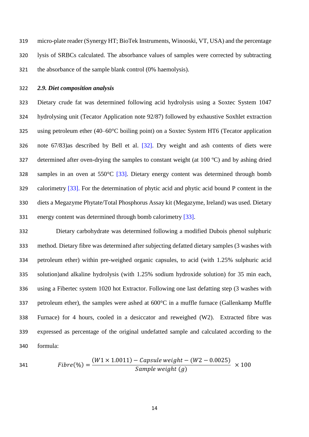micro-plate reader (Synergy HT; BioTek Instruments, Winooski, VT, USA) and the percentage lysis of SRBCs calculated. The absorbance values of samples were corrected by subtracting the absorbance of the sample blank control (0% haemolysis).

## *2.9. Diet composition analysis*

 Dietary crude fat was determined following acid hydrolysis using a Soxtec System 1047 hydrolysing unit (Tecator Application note 92/87) followed by exhaustive Soxhlet extraction 325 using petroleum ether  $(40-60^{\circ}C \text{ boiling point})$  on a Soxtec System HT6 (Tecator application note 67/83)as described by Bell et al. [32]. Dry weight and ash contents of diets were determined after oven-drying the samples to constant weight (at 100 ºC) and by ashing dried samples in an oven at 550°C [33]. Dietary energy content was determined through bomb calorimetry [33]. For the determination of phytic acid and phytic acid bound P content in the diets a Megazyme Phytate/Total Phosphorus Assay kit (Megazyme, Ireland) was used. Dietary energy content was determined through bomb calorimetry [33].

 Dietary carbohydrate was determined following a modified Dubois phenol sulphuric method. Dietary fibre was determined after subjecting defatted dietary samples (3 washes with petroleum ether) within pre-weighed organic capsules, to acid (with 1.25% sulphuric acid solution)and alkaline hydrolysis (with 1.25% sodium hydroxide solution) for 35 min each, using a Fibertec system 1020 hot Extractor. Following one last defatting step (3 washes with petroleum ether), the samples were ashed at 600°C in a muffle furnace (Gallenkamp Muffle Furnace) for 4 hours, cooled in a desiccator and reweighed (W2). Extracted fibre was expressed as percentage of the original undefatted sample and calculated according to the formula:

341 
$$
Fibre(\%) = \frac{(W1 \times 1.0011) - Capsule weight - (W2 - 0.0025)}{Sample weight (g)} \times 100
$$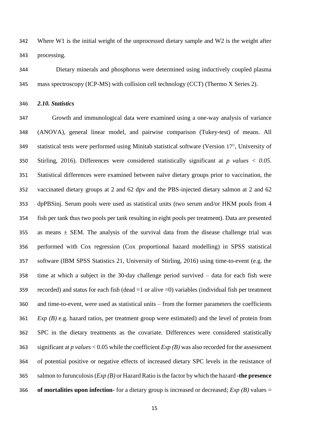Where W1 is the initial weight of the unprocessed dietary sample and W2 is the weight after processing.

 Dietary minerals and phosphorus were determined using inductively coupled plasma mass spectroscopy (ICP-MS) with collision cell technology (CCT) (Thermo X Series 2).

*2.10. Statistics*

 Growth and immunological data were examined using a one-way analysis of variance (ANOVA), general linear model, and pairwise comparison (Tukey-test) of means. All statistical tests were performed using Minitab statistical software (Version  $17^\circ$ ), University of Stirling, 2016). Differences were considered statistically significant at *p values < 0.05*. Statistical differences were examined between naïve dietary groups prior to vaccination, the vaccinated dietary groups at 2 and 62 dpv and the PBS-injected dietary salmon at 2 and 62 dpPBSinj. Serum pools were used as statistical units (two serum and/or HKM pools from 4 fish per tank thus two pools per tank resulting in eight pools per treatment). Data are presented 355 as means  $\pm$  SEM. The analysis of the survival data from the disease challenge trial was performed with Cox regression (Cox proportional hazard modelling) in SPSS statistical software (IBM SPSS Statistics 21, University of Stirling, 2016) using time-to-event (e.g. the time at which a subject in the 30-day challenge period survived – data for each fish were recorded) and status for each fish (dead =1 or alive =0) variables (individual fish per treatment and time-to-event, were used as statistical units – from the former parameters the coefficients *Exp (B)* e.g. hazard ratios, per treatment group were estimated) and the level of protein from SPC in the dietary treatments as the covariate. Differences were considered statistically significant at *p values* < 0.05 while the coefficient *Exp (B)* was also recorded for the assessment of potential positive or negative effects of increased dietary SPC levels in the resistance of salmon to furunculosis (*Exp (B)* or Hazard Ratio isthe factor by which the hazard **-the presence of mortalities upon infection-** for a dietary group is increased or decreased; *Exp (B)* values =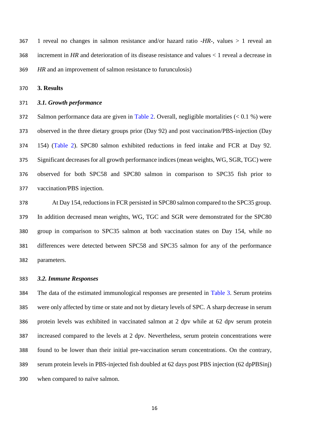1 reveal no changes in salmon resistance and/or hazard ratio -*HR*-, values > 1 reveal an increment in *HR* and deterioration of its disease resistance and values < 1 reveal a decrease in *HR* and an improvement of salmon resistance to furunculosis)

**3. Results**

### *3.1. Growth performance*

 Salmon performance data are given in Table 2. Overall, negligible mortalities (< 0.1 %) were observed in the three dietary groups prior (Day 92) and post vaccination/PBS-injection (Day 154) (Table 2). SPC80 salmon exhibited reductions in feed intake and FCR at Day 92. Significant decreases for all growth performance indices (mean weights, WG, SGR, TGC) were observed for both SPC58 and SPC80 salmon in comparison to SPC35 fish prior to vaccination/PBS injection.

 At Day 154, reductions in FCR persisted in SPC80 salmon compared to the SPC35 group. In addition decreased mean weights, WG, TGC and SGR were demonstrated for the SPC80 group in comparison to SPC35 salmon at both vaccination states on Day 154, while no differences were detected between SPC58 and SPC35 salmon for any of the performance parameters.

### *3.2. Immune Responses*

 The data of the estimated immunological responses are presented in Table 3. Serum proteins were only affected by time or state and not by dietary levels of SPC. A sharp decrease in serum protein levels was exhibited in vaccinated salmon at 2 dpv while at 62 dpv serum protein increased compared to the levels at 2 dpv. Nevertheless, serum protein concentrations were found to be lower than their initial pre-vaccination serum concentrations. On the contrary, serum protein levels in PBS-injected fish doubled at 62 days post PBS injection (62 dpPBSinj) when compared to naïve salmon.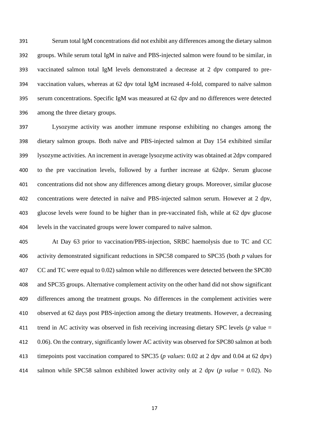Serum total IgM concentrations did not exhibit any differences among the dietary salmon groups. While serum total IgM in naïve and PBS-injected salmon were found to be similar, in vaccinated salmon total IgM levels demonstrated a decrease at 2 dpv compared to pre- vaccination values, whereas at 62 dpv total IgM increased 4-fold, compared to naïve salmon serum concentrations. Specific IgM was measured at 62 dpv and no differences were detected among the three dietary groups.

 Lysozyme activity was another immune response exhibiting no changes among the dietary salmon groups. Both naïve and PBS-injected salmon at Day 154 exhibited similar lysozyme activities. An increment in average lysozyme activity was obtained at 2dpv compared to the pre vaccination levels, followed by a further increase at 62dpv. Serum glucose concentrations did not show any differences among dietary groups. Moreover, similar glucose concentrations were detected in naïve and PBS-injected salmon serum. However at 2 dpv, glucose levels were found to be higher than in pre-vaccinated fish, while at 62 dpv glucose levels in the vaccinated groups were lower compared to naïve salmon.

 At Day 63 prior to vaccination/PBS-injection, SRBC haemolysis due to TC and CC activity demonstrated significant reductions in SPC58 compared to SPC35 (both *p* values for CC and TC were equal to 0.02) salmon while no differences were detected between the SPC80 and SPC35 groups. Alternative complement activity on the other hand did not show significant differences among the treatment groups. No differences in the complement activities were observed at 62 days post PBS-injection among the dietary treatments. However, a decreasing trend in AC activity was observed in fish receiving increasing dietary SPC levels (*p* value = 0.06). On the contrary, significantly lower AC activity was observed for SPC80 salmon at both timepoints post vaccination compared to SPC35 (*p values*: 0.02 at 2 dpv and 0.04 at 62 dpv) salmon while SPC58 salmon exhibited lower activity only at 2 dpv (*p value* = 0.02). No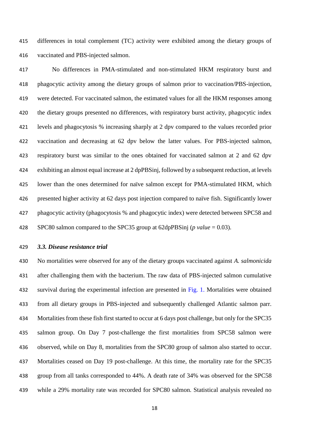differences in total complement (TC) activity were exhibited among the dietary groups of vaccinated and PBS-injected salmon.

 No differences in PMA-stimulated and non-stimulated HKM respiratory burst and phagocytic activity among the dietary groups of salmon prior to vaccination/PBS-injection, were detected. For vaccinated salmon, the estimated values for all the HKM responses among the dietary groups presented no differences, with respiratory burst activity, phagocytic index levels and phagocytosis % increasing sharply at 2 dpv compared to the values recorded prior vaccination and decreasing at 62 dpv below the latter values. For PBS-injected salmon, respiratory burst was similar to the ones obtained for vaccinated salmon at 2 and 62 dpv exhibiting an almost equal increase at 2 dpPBSinj, followed by a subsequent reduction, at levels lower than the ones determined for naïve salmon except for PMA-stimulated HKM, which presented higher activity at 62 days post injection compared to naïve fish. Significantly lower phagocytic activity (phagocytosis % and phagocytic index) were detected between SPC58 and SPC80 salmon compared to the SPC35 group at 62dpPBSinj (*p value* = 0.03).

*3.3. Disease resistance trial*

 No mortalities were observed for any of the dietary groups vaccinated against *A. salmonicida* after challenging them with the bacterium. The raw data of PBS-injected salmon cumulative 432 survival during the experimental infection are presented in Fig. 1. Mortalities were obtained from all dietary groups in PBS-injected and subsequently challenged Atlantic salmon parr. Mortalities from these fish first started to occur at 6 days post challenge, but only for the SPC35 salmon group. On Day 7 post-challenge the first mortalities from SPC58 salmon were observed, while on Day 8, mortalities from the SPC80 group of salmon also started to occur. Mortalities ceased on Day 19 post-challenge. At this time, the mortality rate for the SPC35 group from all tanks corresponded to 44%. A death rate of 34% was observed for the SPC58 while a 29% mortality rate was recorded for SPC80 salmon. Statistical analysis revealed no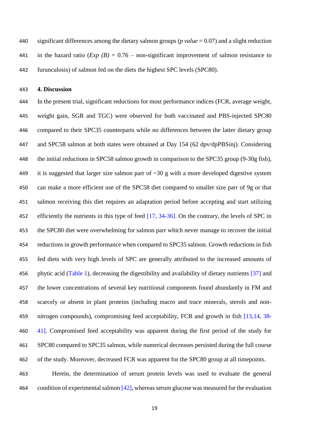significant differences among the dietary salmon groups (*p value* = 0.07) and a slight reduction 441 in the hazard ratio  $(Exp (B) = 0.76$  – non-significant improvement of salmon resistance to furunculosis) of salmon fed on the diets the highest SPC levels (SPC80).

**4. Discussion**

 In the present trial, significant reductions for most performance indices (FCR, average weight, weight gain, SGR and TGC) were observed for both vaccinated and PBS-injected SPC80 compared to their SPC35 counterparts while no differences between the latter dietary group and SPC58 salmon at both states were obtained at Day 154 (62 dpv/dpPBSinj). Considering the initial reductions in SPC58 salmon growth in comparison to the SPC35 group (9-30g fish), 449 it is suggested that larger size salmon parr of  $\sim$ 30 g with a more developed digestive system can make a more efficient use of the SPC58 diet compared to smaller size parr of 9g or that salmon receiving this diet requires an adaptation period before accepting and start utilizing 452 efficiently the nutrients in this type of feed [17, 34-36]. On the contrary, the levels of SPC in the SPC80 diet were overwhelming for salmon parr which never manage to recover the initial reductions in growth performance when compared to SPC35 salmon. Growth reductions in fish fed diets with very high levels of SPC are generally attributed to the increased amounts of phytic acid (Table 1), decreasing the digestibility and availability of dietary nutrients [37] and the lower concentrations of several key nutritional components found abundantly in FM and scarcely or absent in plant proteins (including macro and trace minerals, sterols and non-459 nitrogen compounds), compromising feed acceptability, FCR and growth in fish [13,14, 38-460 41]. Compromised feed acceptability was apparent during the first period of the study for SPC80 compared to SPC35 salmon, while numerical decreases persisted during the full course of the study. Moreover, decreased FCR was apparent for the SPC80 group at all timepoints.

 Herein, the determination of serum protein levels was used to evaluate the general 464 condition of experimental salmon  $[42]$ , whereas serum glucose was measured for the evaluation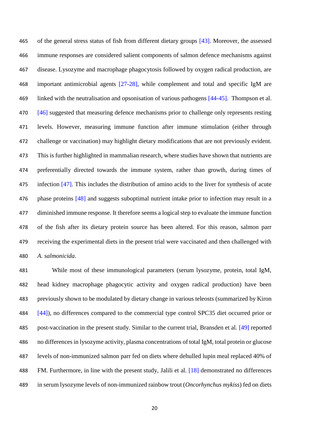465 of the general stress status of fish from different dietary groups [43]. Moreover, the assessed immune responses are considered salient components of salmon defence mechanisms against disease. Lysozyme and macrophage phagocytosis followed by oxygen radical production, are important antimicrobial agents [27-28], while complement and total and specific IgM are 469 linked with the neutralisation and opsonisation of various pathogens [44-45]. Thompson et al. 470 [46] suggested that measuring defence mechanisms prior to challenge only represents resting levels. However, measuring immune function after immune stimulation (either through challenge or vaccination) may highlight dietary modifications that are not previously evident. This is further highlighted in mammalian research, where studies have shown that nutrients are preferentially directed towards the immune system, rather than growth, during times of infection [47]. This includes the distribution of amino acids to the liver for synthesis of acute 476 phase proteins [48] and suggests suboptimal nutrient intake prior to infection may result in a diminished immune response. It therefore seems a logical step to evaluate the immune function of the fish after its dietary protein source has been altered. For this reason, salmon parr receiving the experimental diets in the present trial were vaccinated and then challenged with *A. salmonicida*.

 While most of these immunological parameters (serum lysozyme, protein, total IgM, head kidney macrophage phagocytic activity and oxygen radical production) have been previously shown to be modulated by dietary change in various teleosts (summarized by Kiron 484 [44]), no differences compared to the commercial type control SPC35 diet occurred prior or post-vaccination in the present study. Similar to the current trial, Bransden et al. [49] reported no differences in lysozyme activity, plasma concentrations of total IgM, total protein or glucose levels of non-immunized salmon parr fed on diets where dehulled lupin meal replaced 40% of 488 FM. Furthermore, in line with the present study, Jalili et al. [18] demonstrated no differences in serum lysozyme levels of non-immunized rainbow trout (*Oncorhynchus mykiss*) fed on diets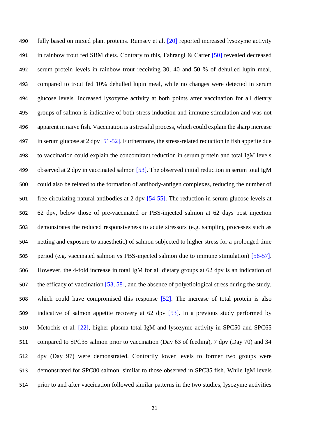490 fully based on mixed plant proteins. Rumsey et al. [20] reported increased lysozyme activity in rainbow trout fed SBM diets. Contrary to this, Fahrangi & Carter [50] revealed decreased serum protein levels in rainbow trout receiving 30, 40 and 50 % of dehulled lupin meal, compared to trout fed 10% dehulled lupin meal, while no changes were detected in serum glucose levels. Increased lysozyme activity at both points after vaccination for all dietary groups of salmon is indicative of both stress induction and immune stimulation and was not apparent in naïve fish. Vaccination is a stressful process, which could explain the sharp increase 497 in serum glucose at 2 dpv [51-52]. Furthermore, the stress-related reduction in fish appetite due to vaccination could explain the concomitant reduction in serum protein and total IgM levels observed at 2 dpv in vaccinated salmon [53]. The observed initial reduction in serum total IgM could also be related to the formation of antibody-antigen complexes, reducing the number of free circulating natural antibodies at 2 dpv [54-55]. The reduction in serum glucose levels at 62 dpv, below those of pre-vaccinated or PBS-injected salmon at 62 days post injection demonstrates the reduced responsiveness to acute stressors (e.g. sampling processes such as netting and exposure to anaesthetic) of salmon subjected to higher stress for a prolonged time period (e.g. vaccinated salmon vs PBS-injected salmon due to immune stimulation) [56-57]. However, the 4-fold increase in total IgM for all dietary groups at 62 dpv is an indication of the efficacy of vaccination [53, 58], and the absence of polyetiological stress during the study, which could have compromised this response [52]. The increase of total protein is also indicative of salmon appetite recovery at 62 dpv [53]. In a previous study performed by Metochis et al. [22], higher plasma total IgM and lysozyme activity in SPC50 and SPC65 compared to SPC35 salmon prior to vaccination (Day 63 of feeding), 7 dpv (Day 70) and 34 dpv (Day 97) were demonstrated. Contrarily lower levels to former two groups were demonstrated for SPC80 salmon, similar to those observed in SPC35 fish. While IgM levels prior to and after vaccination followed similar patterns in the two studies, lysozyme activities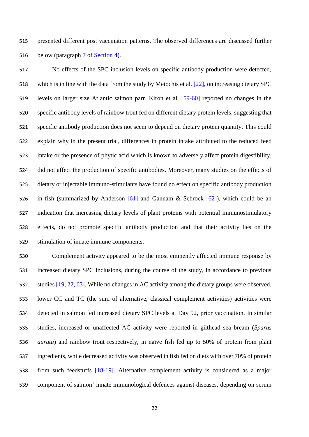presented different post vaccination patterns. The observed differences are discussed further below (paragraph 7 of Section 4).

 No effects of the SPC inclusion levels on specific antibody production were detected, which is in line with the data from the study by Metochis et al. [22], on increasing dietary SPC levels on larger size Atlantic salmon parr. Kiron et al. [59-60] reported no changes in the specific antibody levels of rainbow trout fed on different dietary protein levels, suggesting that specific antibody production does not seem to depend on dietary protein quantity. This could explain why in the present trial, differences in protein intake attributed to the reduced feed intake or the presence of phytic acid which is known to adversely affect protein digestibility, did not affect the production of specific antibodies. Moreover, many studies on the effects of dietary or injectable immuno-stimulants have found no effect on specific antibody production in fish (summarized by Anderson [61] and Gannam & Schrock [62]), which could be an indication that increasing dietary levels of plant proteins with potential immunostimulatory effects, do not promote specific antibody production and that their activity lies on the stimulation of innate immune components.

 Complement activity appeared to be the most eminently affected immune response by increased dietary SPC inclusions, during the course of the study, in accordance to previous studies [19, 22, 63]. While no changes in AC activity among the dietary groups were observed, lower CC and TC (the sum of alternative, classical complement activities) activities were detected in salmon fed increased dietary SPC levels at Day 92, prior vaccination. In similar studies, increased or unaffected AC activity were reported in gilthead sea bream (*Sparus aurata*) and rainbow trout respectively, in naïve fish fed up to 50% of protein from plant ingredients, while decreased activity was observed in fish fed on diets with over 70% of protein from such feedstuffs [18-19]. Alternative complement activity is considered as a major component of salmon' innate immunological defences against diseases, depending on serum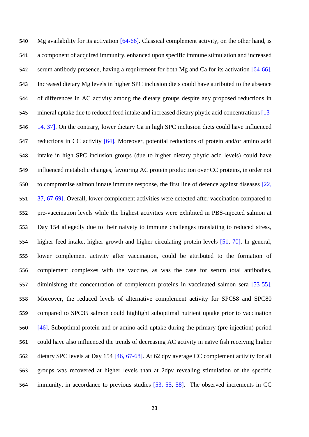Mg availability for its activation [64-66]. Classical complement activity, on the other hand, is a component of acquired immunity, enhanced upon specific immune stimulation and increased 542 serum antibody presence, having a requirement for both Mg and Ca for its activation [64-66]. Increased dietary Mg levels in higher SPC inclusion diets could have attributed to the absence of differences in AC activity among the dietary groups despite any proposed reductions in mineral uptake due to reduced feed intake and increased dietary phytic acid concentrations [13- 14, 37]. On the contrary, lower dietary Ca in high SPC inclusion diets could have influenced reductions in CC activity [64]. Moreover, potential reductions of protein and/or amino acid intake in high SPC inclusion groups (due to higher dietary phytic acid levels) could have influenced metabolic changes, favouring AC protein production over CC proteins, in order not to compromise salmon innate immune response, the first line of defence against diseases [22, 37, 67-69]. Overall, lower complement activities were detected after vaccination compared to pre-vaccination levels while the highest activities were exhibited in PBS-injected salmon at Day 154 allegedly due to their naivety to immune challenges translating to reduced stress, higher feed intake, higher growth and higher circulating protein levels [51, 70]. In general, lower complement activity after vaccination, could be attributed to the formation of complement complexes with the vaccine, as was the case for serum total antibodies, diminishing the concentration of complement proteins in vaccinated salmon sera [53-55]. Moreover, the reduced levels of alternative complement activity for SPC58 and SPC80 compared to SPC35 salmon could highlight suboptimal nutrient uptake prior to vaccination [46]. Suboptimal protein and or amino acid uptake during the primary (pre-injection) period could have also influenced the trends of decreasing AC activity in naïve fish receiving higher dietary SPC levels at Day 154 [46, 67-68]. At 62 dpv average CC complement activity for all groups was recovered at higher levels than at 2dpv revealing stimulation of the specific immunity, in accordance to previous studies [53, 55, 58]. The observed increments in CC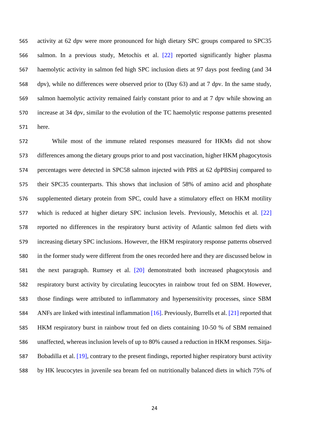activity at 62 dpv were more pronounced for high dietary SPC groups compared to SPC35 salmon. In a previous study, Metochis et al. [22] reported significantly higher plasma haemolytic activity in salmon fed high SPC inclusion diets at 97 days post feeding (and 34 dpv), while no differences were observed prior to (Day 63) and at 7 dpv. In the same study, salmon haemolytic activity remained fairly constant prior to and at 7 dpv while showing an increase at 34 dpv, similar to the evolution of the TC haemolytic response patterns presented here.

 While most of the immune related responses measured for HKMs did not show differences among the dietary groups prior to and post vaccination, higher HKM phagocytosis percentages were detected in SPC58 salmon injected with PBS at 62 dpPBSinj compared to their SPC35 counterparts. This shows that inclusion of 58% of amino acid and phosphate supplemented dietary protein from SPC, could have a stimulatory effect on HKM motility which is reduced at higher dietary SPC inclusion levels. Previously, Metochis et al. [22] reported no differences in the respiratory burst activity of Atlantic salmon fed diets with increasing dietary SPC inclusions. However, the HKM respiratory response patterns observed in the former study were different from the ones recorded here and they are discussed below in the next paragraph. Rumsey et al. [20] demonstrated both increased phagocytosis and respiratory burst activity by circulating leucocytes in rainbow trout fed on SBM. However, those findings were attributed to inflammatory and hypersensitivity processes, since SBM ANFs are linked with intestinal inflammation [16]. Previously, Burrells et al. [21] reported that HKM respiratory burst in rainbow trout fed on diets containing 10-50 % of SBM remained unaffected, whereas inclusion levels of up to 80% caused a reduction in HKM responses. Sitja- Bobadilla et al. [19], contrary to the present findings, reported higher respiratory burst activity by HK leucocytes in juvenile sea bream fed on nutritionally balanced diets in which 75% of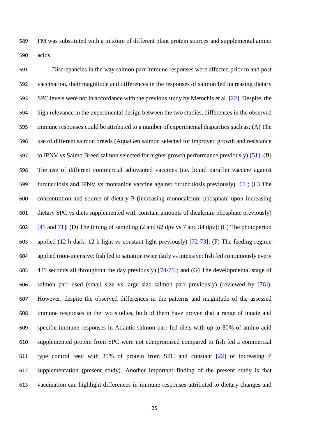FM was substituted with a mixture of different plant protein sources and supplemental amino acids.

 Discrepancies in the way salmon parr immune responses were affected prior to and post vaccination, their magnitude and differences in the responses of salmon fed increasing dietary 593 SPC levels were not in accordance with the previous study by Metochis et al. [22]. Despite, the high relevance in the experimental design between the two studies, differences in the observed immune responses could be attributed to a number of experimental disparities such as: (A) The use of different salmon breeds (AquaGen salmon selected for improved growth and resistance to IPNV vs Salmo Breed salmon selected for higher growth performance previously) [51]; (B) The use of different commercial adjuvanted vaccines (i.e. liquid paraffin vaccine against furunculosis and IPNV vs montanide vaccine against furunculosis previously) [61]; (C) The concentration and source of dietary P (increasing monocalcium phosphate upon increasing dietary SPC vs diets supplemented with constant amounts of dicalcium phosphate previously)  $[45 \text{ and } 71]$ ; (D) The timing of sampling (2 and 62 dpv vs 7 and 34 dpv); (E) The photoperiod applied (12 h dark: 12 h light vs constant light previously) [72-73]; (F) The feeding regime applied (non-intensive: fish fed to satiation twice daily vs intensive: fish fed continuously every 435 seconds all throughout the day previously) [74-75]; and (G) The developmental stage of salmon parr used (small size vs large size salmon parr previously) (reviewed by [76]). However, despite the observed differences in the patterns and magnitude of the assessed immune responses in the two studies, both of them have proven that a range of innate and specific immune responses in Atlantic salmon parr fed diets with up to 80% of amino acid supplemented protein from SPC were not compromised compared to fish fed a commercial type control feed with 35% of protein from SPC and constant [22] or increasing P supplementation (present study). Another important finding of the present study is that vaccination can highlight differences in immune responses attributed to dietary changes and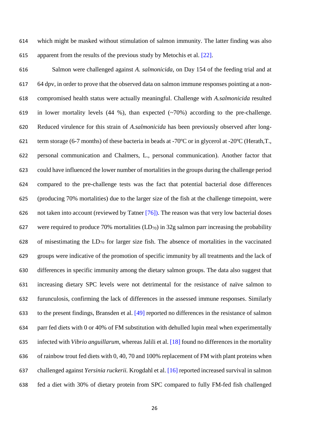which might be masked without stimulation of salmon immunity. The latter finding was also apparent from the results of the previous study by Metochis et al. [22].

 Salmon were challenged against *A. salmonicida*, on Day 154 of the feeding trial and at 64 dpv, in order to prove that the observed data on salmon immune responses pointing at a non- compromised health status were actually meaningful. Challenge with *A.salmonicida* resulted 619 in lower mortality levels  $(44 \%)$ , than expected  $(-70\%)$  according to the pre-challenge. Reduced virulence for this strain of *A.salmonicida* has been previously observed after long- term storage (6-7 months) of these bacteria in beads at -70ºC or in glycerol at -20ºC (Herath,T., personal communication and Chalmers, L., personal communication). Another factor that could have influenced the lower number of mortalities in the groups during the challenge period compared to the pre-challenge tests was the fact that potential bacterial dose differences (producing 70% mortalities) due to the larger size of the fish at the challenge timepoint, were not taken into account (reviewed by Tatner [76]). The reason was that very low bacterial doses 627 were required to produce 70% mortalities  $(LD_{70})$  in 32g salmon parr increasing the probability 628 of misestimating the  $LD_{70}$  for larger size fish. The absence of mortalities in the vaccinated groups were indicative of the promotion of specific immunity by all treatments and the lack of differences in specific immunity among the dietary salmon groups. The data also suggest that increasing dietary SPC levels were not detrimental for the resistance of naïve salmon to furunculosis, confirming the lack of differences in the assessed immune responses. Similarly to the present findings, Bransden et al. [49] reported no differences in the resistance of salmon parr fed diets with 0 or 40% of FM substitution with dehulled lupin meal when experimentally infected with *Vibrio anguillarum*, whereas Jalili et al. [18] found no differences in the mortality of rainbow trout fed diets with 0, 40, 70 and 100% replacement of FM with plant proteins when challenged against *Yersinia ruckerii.* Krogdahl et al. [16] reported increased survival in salmon fed a diet with 30% of dietary protein from SPC compared to fully FM-fed fish challenged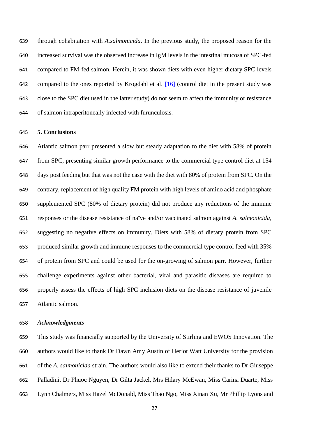through cohabitation with *A.salmonicida*. In the previous study, the proposed reason for the increased survival was the observed increase in IgM levels in the intestinal mucosa of SPC-fed compared to FM-fed salmon. Herein, it was shown diets with even higher dietary SPC levels compared to the ones reported by Krogdahl et al. [16] (control diet in the present study was close to the SPC diet used in the latter study) do not seem to affect the immunity or resistance of salmon intraperitoneally infected with furunculosis.

#### **5. Conclusions**

 Atlantic salmon parr presented a slow but steady adaptation to the diet with 58% of protein from SPC, presenting similar growth performance to the commercial type control diet at 154 days post feeding but that was not the case with the diet with 80% of protein from SPC. On the contrary, replacement of high quality FM protein with high levels of amino acid and phosphate supplemented SPC (80% of dietary protein) did not produce any reductions of the immune responses or the disease resistance of naïve and/or vaccinated salmon against *A. salmonicida,* suggesting no negative effects on immunity. Diets with 58% of dietary protein from SPC produced similar growth and immune responses to the commercial type control feed with 35% of protein from SPC and could be used for the on-growing of salmon parr. However, further challenge experiments against other bacterial, viral and parasitic diseases are required to properly assess the effects of high SPC inclusion diets on the disease resistance of juvenile Atlantic salmon.

### *Acknowledgments*

 This study was financially supported by the University of Stirling and EWOS Innovation. The authors would like to thank Dr Dawn Amy Austin of Heriot Watt University for the provision of the *A. salmonicida* strain. The authors would also like to extend their thanks to Dr Giuseppe Palladini, Dr Phuoc Nguyen, Dr Gilta Jackel, Mrs Hilary McEwan, Miss Carina Duarte, Miss Lynn Chalmers, Miss Hazel McDonald, Miss Thao Ngo, Miss Xinan Xu, Mr Phillip Lyons and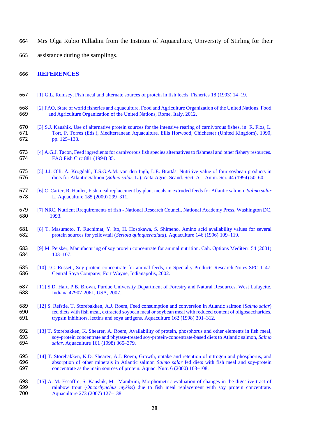- Mrs Olga Rubio Palladini from the Institute of Aquaculture, University of Stirling for their
- assistance during the samplings.

### **REFERENCES**

- [1] G.L. Rumsey, Fish meal and alternate sources of protein in fish feeds. Fisheries 18 (1993) 14–19.
- [2] FAO, State of world fisheries and aquaculture. Food and Agriculture Organization of the United Nations. Food and Agriculture Organization of the United Nations, Rome, Italy, 2012.
- [3] S.J. Kaushik, Use of alternative protein sources for the intensive rearing of carnivorous fishes, in: R. Flos, L. Tort, P. Torres (Eds.), Mediterranean Aquaculture. Ellis Horwood, Chichester (United Kingdom), 1990, pp. 125–138.
- [4] A.G.J. Tacon, Feed ingredients for carnivorous fish species alternatives to fishmeal and other fishery resources. FAO Fish Circ 881 (1994) 35.
- [5] J.J. Olli, Å. Krogdahl, T.S.G.A.M. van den Ingh, L.E. Brattås, Nutritive value of four soybean products in diets for Atlantic Salmon (*Salmo salar*, L.). Acta Agric. Scand. Sect. A – Anim. Sci. 44 (1994) 50–60.
- [6] C. Carter, R. Hauler, Fish meal replacement by plant meals in extruded feeds for Atlantic salmon, *Salmo salar* L. Aquaculture 185 (2000) 299–311.
- [7] NRC, Nutrient Rrequirements of fish National Research Council. National Academy Press, Washington DC, 1993.
- 681 [8] T. Masumoto, T. Ruchimat, Y. Ito, H. Hosokawa, S. Shimeno, Amino acid availability values for several protein sources for yellowtail (Seriola quinqueradiata). Aquaculture 146 (1996) 109-119. protein sources for yellowtail (*Seriola quinqueradiata*). Aquaculture 146 (1996) 109–119.
- [9] M. Peisker, Manufacturing of soy protein concentrate for animal nutrition. Cah. Options Mediterr. 54 (2001)  $103 - 107$ .
- [10] J.C. Russett, Soy protein concentrate for animal feeds, in: Specialty Products Research Notes SPC-T-47. Central Soya Company, Fort Wayne, Indianapolis, 2002.
- [11] S.D. Hart, P.B. Brown, Purdue University Department of Forestry and Natural Resources. West Lafayette, Indiana 47907-2061, USA, 2007.
- [12] S. Refstie, T. Storebakken, A.J. Roem, Feed consumption and conversion in Atlantic salmon (*Salmo salar*) 690 fed diets with fish meal, extracted soybean meal or soybean meal with reduced content of oligosaccharides,<br>691 typsin inhibitors, lectins and soya antigens. Aquaculture 162 (1998) 301–312. trypsin inhibitors, lectins and soya antigens. Aquaculture 162 (1998) 301–312.
- 692 [13] T. Storebakken, K. Shearer, A. Roem, Availability of protein, phosphorus and other elements in fish meal, soy-protein concentrate and phytase-treated soy-protein-concentrate-based diets to Atlantic salmon, *Salmo*  soy-protein concentrate and phytase-treated soy-protein-concentrate-based diets to Atlantic salmon, *Salmo salar*. Aquaculture 161 (1998) 365–379.
- [14] T. Storebakken, K.D. Shearer, A.J. Roem, Growth, uptake and retention of nitrogen and phosphorus, and absorption of other minerals in Atlantic salmon *Salmo salar* fed diets with fish meal and soy-protein concentrate as the main sources of protein. Aquac. Nutr. 6 (2000) 103–108.
- [15] A.-M. Escaffre, S. Kaushik, M. Mambrini, Morphometric evaluation of changes in the digestive tract of rainbow trout (*Oncorhynchus mykiss*) due to fish meal replacement with soy protein concentrate. Aquaculture 273 (2007) 127–138.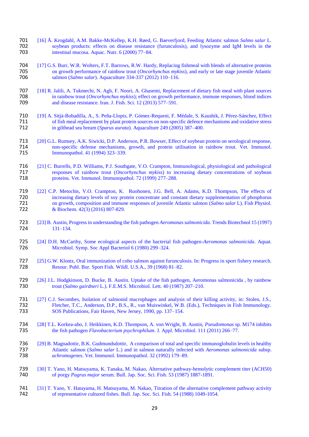- 701 [16] Å. Krogdahl, A.M. Bakke-McKellep, K.H. Røed, G. Baeverfjord, Feeding Atlantic salmon *Salmo salar* L. 702 soybean products: effects on disease resistance (furunculosis), and lysozyme and IgM levels in the intestinal mucosa. Aquac. Nutr. 6 (2000) 77–84. intestinal mucosa. Aquac. Nutr.  $6 (2000) 77-84$ .
- 704 [17] G.S. Burr, W.R. Wolters, F.T. Barrows, R.W. Hardy, Replacing fishmeal with blends of alternative proteins on growth performance of rainbow trout *(Oncorhynchus mykiss)*, and early or late stage juvenile Atlantic 705 on growth performance of rainbow trout (*Oncorhynchus mykiss*), and early or late stage juvenile Atlantic salmon (*Salmo salar*). Aquaculture 334-337 (2012) 110–116. 706 salmon (*Salmo salar*). Aquaculture 334-337 (2012) 110–116.
- 707 [18] R. Jalili, A. Tukmechi, N. Agh, F. Noori, A. Ghasemi, Replacement of dietary fish meal with plant sources<br>708 in rainbow trout *(Oncorhynchus mykiss*): effect on growth performance, immune responses, blood indices 708 in rainbow trout (*Oncorhynchus mykiss*); effect on growth performance, immune responses, blood indices and disease resistance. Iran. J. Fish. Sci. 12 (2013) 577–591. and disease resistance. Iran. J. Fish. Sci. 12 (2013) 577–591.
- 710 [19] A. Sitjà-Bobadilla, A., S. Peña-Llopis, P. Gómez-Requeni, F. Médale, S. Kaushik, J. Pérez-Sánchez, Effect 711 of fish meal replacement by plant protein sources on non-specific defence mechanisms and oxidative stress<br>712 in gilthead sea bream (*Sparus aurata*). Aquaculture 249 (2005) 387–400. 712 in gilthead sea bream (*Sparus aurata*). Aquaculture 249 (2005) 387–400.
- 713 [20] G.L. Rumsey, A.K. Siwicki, D.P. Anderson, P.R. Bowser, Effect of soybean protein on serological response, 714 non-specific defense mechanisms, growth, and protein utilisation in rainbow trout. Vet. Immunol. 715 Immunopathol. 41 (1994) 323–339.
- 716 [21] C. Burrells, P.D. Williams, P.J. Southgate, V.O. Crampton, Immunological, physiological and pathological responses of rainbow trout *(Oncorhynchus mykiss)* to increasing dietary concentrations of soybean 717 responses of rainbow trout (*Oncorhynchus mykiss*) to increasing dietary concentrations of soybean proteins. Vet. Immunol. Immunopathol. 72 (1999) 277–288. proteins. Vet. Immunol. Immunopathol. 72 (1999) 277–288.
- 719 [22] C.P. Metochis, V.O. Crampton, K. Ruohonen, J.G. Bell, A. Adams, K.D. Thompson, The effects of 720 increasing dietary levels of soy protein concentrate and constant dietary supplementation of phosphorus<br>721 on growth, composition and immune responses of juvenile Atlantic salmon (Salmo salar L). Fish Physiol. 721 on growth, composition and immune responses of juvenile Atlantic salmon (*Salmo salar* L). Fish Physiol. & Biochem. 42(3) (2016) 807-829.
- 723 [23] B. Austin, Progress in understanding the fish pathogen *Aeromonas salmonicida*. Trends Biotechnol 15 (1997) 724 131–134.
- 725 [24] D.H. McCarthy, Some ecological aspects of the bacterial fish pathogen-*Aeromonas salmonicida*. Aquat. Microbiol. Symp. Soc Appl Bacteriol 6 (1980) 299–324.
- 727 [25] G.W. Klontz, Oral immunization of coho salmon against furunculosis. In: Progress in sport fishery research. 728 Resour. Publ. Bur. Sport Fish. Wildl. U.S.A., 39 (1968) 81–82.
- 729 [26] J.L. Hodgkinson, D. Bucke, B. Austin. Uptake of the fish pathogen, Aeromonas salmonicida, by rainbow<br>730 trout (Salmo gairdneri L.). F.E.M.S. Microbiol. Lett. 40 (1987) 207–210. 730 trout (*Salmo gairdneri* L.). F.E.M.S. Microbiol. Lett. 40 (1987) 207–210.
- 731 [27] C.J. Secombes, Isolation of salmonid macrophages and analysis of their killing activity, in: Stolen, J.S., 732 Fletcher, T.C., Anderson, D.P., B.S., R., van Muiswinkel, W.B. (Eds.), Techniques in Fish Immunology. 732 Fletcher, T.C., Anderson, D.P., B.S., R., van Muiswinkel, W.B. (Eds.), Techniques in Fish Immunology.<br>733 SOS Publications, Fair Haven, New Jersey, 1990, pp. 137–154. 733 SOS Publications, Fair Haven, New Jersey, 1990, pp. 137–154.
- 734 [28] T.L. Korkea-aho, J. Heikkinen, K.D. Thompson, A. von Wright, B. Austin, *Pseudomonas* sp. M174 inhibits 735 the fish pathogen *Flavobacterium psychrophilum*. J. Appl. Microbiol. 111 (2011) 266–77.
- 736 [29] B. Magnadottir, B.K. Gudmundsdottir, A comparison of total and specific immunoglobulin levels in healthy<br>737 Atlantic salmon (Salmo salar L.) and in salmon naturally infected with Aeromonas salmonicida subsp. 737 Atlantic salmon (*Salmo salar* L.) and in salmon naturally infected with *Aeromonas salmonicida* subsp. 738 *achromogenes*. Vet. Immunol. Immunopathol. 32 (1992) 179–89.
- 739 [30] T. Yano, H. Matsuyama, K. Tanaka, M. Nakao, Alternative pathway-hemolytic complement titer (ACH50)<br>740 of porgy *Pagrus major* serum. Bull. Jap. Soc. Sci. Fish. 53 (1987) 1887-1891. 740 of porgy *Pagrus major* serum. Bull. Jap. Soc. Sci. Fish. 53 (1987) 1887-1891.
- 741 [31] T. Yano, Y. Hatayama, H. Matsuyama, M. Nakao, Titration of the alternative complement pathway activity<br>742 **Canadiates** of representative cultured fishes. Bull. Jap. Soc. Sci. Fish. 54 (1988) 1049-1054. of representative cultured fishes. Bull. Jap. Soc. Sci. Fish. 54 (1988) 1049-1054.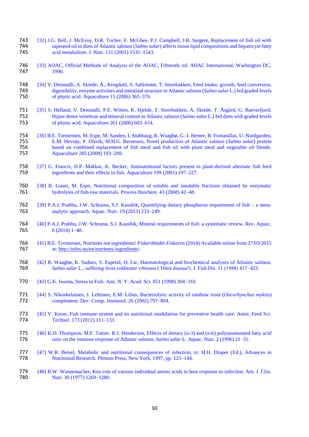- [32] J.G. Bell, J. McEvoy, D.R. Tocher, F. McGhee, P.J. Campbell, J.R. Sargent, Replacement of fish oil with rapeseed oil in diets of Atlantic salmon (*Salmo salar*) affects tissue lipid compositions and hepatocyte fatty rapeseed oil in diets of Atlantic salmon (*Salmo salar*) affects tissue lipid compositions and hepatocyte fatty acid metabolism. J. Nutr. 131 (2001) 1535–1543.
- [33] AOAC, Official Methods of Analysis of the AOAC, Fifteenth. ed. AOAC International, Washington DC, 1990.
- 748 [34] V. Denstadli, A. Skrede, Å., Krogdahl, S. Sahlstrøm, T. Storebakken, Feed intake, growth, feed conversion, digestibility, enzyme activities and intestinal structure in Atlantic salmon (Salmo salar L.) fed graded l digestibility, enzyme activities and intestinal structure in Atlantic salmon (*Salmo salar* L.) fed graded levels of phytic acid. Aquaculture (2006) 365–376.
- [35] S. Helland, V. Denstadli, P.E. Witten, K. Hjelde, T. Storebakken, A. Skrede, T. Åsgård, G. Baeverfjord, Hyper dense vertebrae and mineral content in Atlantic salmon (*Salmo salar* L.) fed diets with graded levels of phytic acid. Aquaculture (2006) 603–614.
- 754 [36] B.E. Torstensen, M. Espe, M. Sanden, I. Stubhaug, R. Waagbø, G.-I. Hemre, R. Fontanillas, U. Nordgarden,<br>755 E.M. Hevrøy, P. Olsvik, M.H.G. Berntssen, Novel production of Atlantic salmon (*Salmo salar*) protein E.M. Hevrøy, P. Olsvik, M.H.G. Berntssen, Novel production of Atlantic salmon (*Salmo salar*) protein based on combined replacement of fish meal and fish oil with plant meal and vegetable oil blends. Aquaculture 285 (2008) 193–200.
- [37] G. Francis, H.P. Makkar, K. Becker, Antinutritional factors present in plant-derived alternate fish feed ingredients and their effects in fish. Aquaculture 199 (2001) 197–227.
- [38] B. Liaset, M. Espe, Nutritional composition of soluble and insoluble fractions obtained by enzymatic hydrolysis of fish-raw materials. Process Biochem. 43 (2008) 42–48.
- [39] P.A.J. Prabhu, J.W. Schrama, S.J. Kaushik, Quantifying dietary phosphorus requirement of fish a meta-analytic approach. Aquac. Nutr. 19 (2013) 233–249.
- [40] P.A.J. Prabhu, J.W. Schrama, S.J. Kaushik, Mineral requirements of fish: a systematic review. Rev. Aquac. 6 (2014) 1–48.
- [41] B.E. Torstensen, Nutrients not ingredients! *Fiskeribladet Fiskaren* (2014) Available online from 27/03/2015 at: http://nifes.no/en/nutrients-ingredients/.
- 768 [42] R. Waagbø, K. Sadnes, S. Espelid, O. Lie, Haematological and biochemical analyses of Atlantic salmon, *Salmo salar* L., suffering from coldwater vibriosis ('Hitra disease'). J. Fish Dis. 11 (1988) 417–423. *Salmo salar* L., suffering from coldwater vibriosis ('Hitra disease'). J. Fish Dis. 11 (1988) 417–423.
- [43] G.K. Iwama, Stress in Fish. Ann. N. Y. Acad. Sci. 851 (1998) 304–310.
- [44] S. Nikoskelainen, J. Lehtinen, E.M. Lilius, Bacteriolytic activity of rainbow trout (*Oncorhynchus mykiss*) complement. Dev. Comp. Immunol. 26 (2002) 797–804.
- [45] V. Kiron, Fish immune system and its nutritional modulation for preventive health care. Anim. Feed Sci. Technol. 173 (2012) 111-133.
- [46] K.D. Thompson, M.F. Tatner, R.J. Henderson, Effects of dietary (n-3) and (n-6) polyunsaturated fatty acid ratio on the immune response of Atlantic salmon, *Salmo salar* L. Aquac. Nutr. 2 (1996) 21–31.
- 777 [47] W.R. Beisel, Metabolic and nutritional consequences of infection, in: H.H. Draper (Ed.), Advances in<br>778 **Multitional Research. Plenum Press, New York**, 1997, pp. 125–144. Nutritional Research. Plenum Press, New York, 1997, pp. 125–144.
- [48] R.W. Wannemacher, Key role of various individual amino acids in host response to infection. Am. J. Clin. Nutr. 30 (1977) 1269-1280.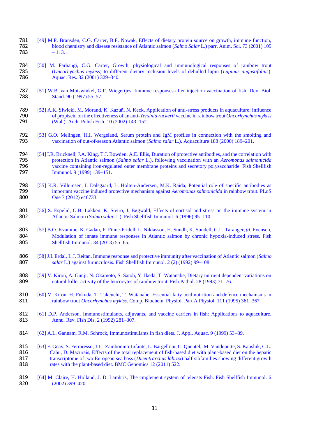- 781 [49] M.P. Bransden, C.G. Carter, B.F. Nowak, Effects of dietary protein source on growth, immune function, 782 blood chemistry and disease resistance of Atlantic salmon (*Salmo Salar* L.) parr. Anim. Sci. 73 (2001) 105 782 blood chemistry and disease resistance of Atlantic salmon (*Salmo Salar* L.) parr. Anim. Sci. 73 (2001) 105  $-113.$
- 784 [50] M. Farhangi, C.G. Carter, Growth, physiological and immunological responses of rainbow trout (*Oncorhynchus mykiss*) to different dietary inclusion levels of dehulled lupin (*Lupinus angustifolius*). 785 (*Oncorhynchus mykiss*) to different dietary inclusion levels of dehulled lupin (*Lupinus angustifolius*). Aquac. Res. 32 (2001) 329–340.
- 787 [51] W.B. van Muiswinkel, G.F. Wiegertjes, Immune responses after injection vaccination of fish. Dev. Biol.<br>788 **Stand.** 90 (1997) 55–57. Stand. 90 (1997) 55–57.
- 789 [52] A.K. Siwicki, M. Morand, K. Kazuñ, N. Keck, Application of anti-stress products in aquaculture: influence of propiscin on the effectiveness of an anti-*Yersinia ruckerii* vaccine in rainbow trout *Oncorhynchus myk* 790 of propiscin on the effectiveness of an anti-*Yersinia ruckerii* vaccine in rainbow trout *Oncorhynchus mykiss*  (Wal.). Arch. Polish Fish. 10 (2002) 143–152.
- 792 [53] G.O. Melingen, H.I. Wergeland, Serum protein and IgM profiles in connection with the smolting and vaccination of out-of-season Atlantic salmon (*Salmo salar* L.). Aquaculture 188 (2000) 189–201. 793 vaccination of out-of-season Atlantic salmon (*Salmo salar* L.). Aquaculture 188 (2000) 189–201.
- 794 [54] I.R. Bricknell, J.A. King, T.J. Bowden, A.E. Ellis, Duration of protective antibodies, and the correlation with 795 protection in Atlantic salmon (*Salmo salar* L.), following vaccination with an *Aeromonas salmonicida*  796 vaccine containing iron-regulated outer membrane proteins and secretory polysaccharide. Fish Shellfish<br>797 Immunol. 9 (1999) 139–151. Immunol. 9 (1999) 139-151.
- 798 [55] K.R. Villumsen, I. Dalsgaard, L. Holten-Andersen, M.K. Raida, Potential role of specific antibodies as important vaccine induced protective mechanism against *Aeromonas salmonicida* in rainbow trout. PLoS 799 important vaccine induced protective mechanism against *Aeromonas salmonicida* in rainbow trout. PLoS One 7 (2012) e46733.
- 801 [56] S. Espelid, G.B. Løkken, K. Steiro, J. Bøgwald, Effects of cortisol and stress on the immune system in 802 Atlantic Salmon (*Salmo salar* L.). Fish Shellfish Immunol. 6 (1996) 95–110. 802 Atlantic Salmon (*Salmo salar* L.). Fish Shellfish Immunol. 6 (1996) 95–110.
- 803 [57] B.O. Kvamme, K. Gadan, F. Finne-Fridell, L. Niklasson, H. Sundh, K. Sundell, G.L. Taranger, Ø. Evensen, 804 Modulation of innate immune responses in Atlantic salmon by chronic hypoxia-induced stress. Fish 805 Shellfish Immunol. 34 (2013) 55–65.
- 806 [58[\] J.I. Erdal,](http://www.sciencedirect.com/science/article/pii/S1050464805800397) [L.J. Reitan,](http://www.sciencedirect.com/science/article/pii/S1050464805800397) Immune response and protective immunity after vaccination of Atlantic salmon (*Salmo*  807 *salar* L.) against furunculosis. Fish Shellfish Immunol. 2 (2) (1992) 99–108.
- 808 [59] V. Kiron, A. Gunji, N. Okamoto, S. Satoh, Y. Ikeda, T. Watanabe, Dietary nutrient dependent variations on natural-killer activity of the leucocytes of rainbow trout. Fish Pathol. 28 (1993) 71–76. natural-killer activity of the leucocytes of rainbow trout. Fish Pathol. 28 (1993) 71–76.
- 810 [60] V. Kiron, H. Fukuda, T. Takeuchi, T. Watanabe, Essential fatty acid nutrition and defence mechanisms in rainbow trout *Oncorhynchus mykiss*. Comp. Biochem. Physiol. Part A Physiol. 111 (1995) 361–367. 811 rainbow trout *Oncorhynchus mykiss*. Comp. Biochem. Physiol. Part A Physiol. 111 (1995) 361–367.
- 812 [61] D.P. Anderson, Immunostimulants, adjuvants, and vaccine carriers in fish: Applications to aquaculture.<br>813 **Annu.** Rev. Fish Dis. 2 (1992) 281–307. 813 Annu. Rev. Fish Dis. 2 (1992) 281–307.
- 814 [62] A.L. Gannam, R.M. Schrock, Immunostimulants in fish diets. J. Appl. Aquac. 9 (1999) 53–89.
- 815 [63] F. Geay, S. Ferraresso, J.L. Zambonino-Infante, L. Bargelloni, C. Quentel, M. Vandeputte, S. Kaushik, C.L. 816 Cahu, D. Mazurais, Effects of the total replacement of fish-based diet with plant-based diet on the hepatic 817 transcriptome of two European sea bass (*Dicentrarchus labrax*) half-sibfamilies showing different growth rates with the plant-based diet. BMC Genomics 12 (2011) 522. rates with the plant-based diet. BMC Genomics 12 (2011) 522.
- 819 [64] M. Claire, H. Holland, J. D. Lambris, The cmplement system of teleosts Fish. Fish Shellfish Immunol. 6<br>820 (2002) 399–420.  $(2002)$  399–420.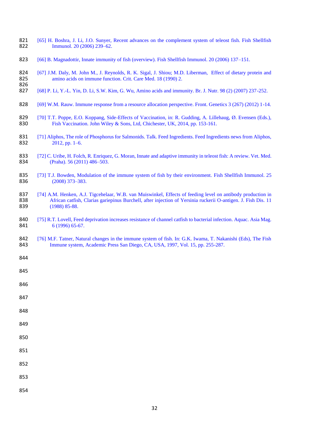- 821 [65] H. Boshra, J. Li, J.O. Sunyer, Recent advances on the complement system of teleost fish. Fish Shellfish 822 Immunol. 20 (2006) 239–62. Immunol. 20 (2006) 239–62.
- 823 [66] B. Magnadottir, Innate immunity of fish (overview). Fish Shellfish Immunol. 20 (2006) 137–151.
- 824 [67] J.M. Daly, M. John M., J. Reynolds, R. K. Sigal, J. Shiou; M.D. Liberman, Effect of dietary protein and amino acids on immune function. Crit. Care Med. 18 (1990) 2. amino acids on immune function. Crit. Care Med. 18 (1990) 2.
- 826<br>827 827 [68] P. Li, Y.-L. Yin, D. Li, S.W. Kim, G. Wu, Amino acids and immunity. Br. J. Nutr. 98 (2) (2007) 237-252.
- 828 [69] W.M. Rauw. Immune response from a resource allocation perspective. Front. Genetics 3 (267) (2012) 1-14.
- 829 [70] T.T. Poppe, E.O. Koppang, Side-Effects of Vaccination, in: R. Gudding, A. Lillehaug, Ø. Evensen (Eds.), 830 Fish Vaccination. John Wiley & Sons, Ltd. Chichester, UK, 2014, pp. 153-161. Fish Vaccination. John Wiley & Sons, Ltd, Chichester, UK, 2014, pp. 153-161.
- 831 [71] Aliphos, The role of Phosphorus for Salmonids. Talk. Feed Ingredients. Feed Ingredients news from Aliphos, 832 2012. pp. 1–6.  $2012$ , pp. 1–6.
- 833 [72] C. Uribe, H. Folch, R. Enriquez, G. Moran, Innate and adaptive immunity in teleost fish: A review. Vet. Med.<br>834 [Praha). 56 (2011) 486–503. (Praha). 56 (2011) 486–503.
- 835 [73] T.J. Bowden, Modulation of the immune system of fish by their environment. Fish Shellfish Immunol. 25<br>836 (2008) 373–383. (2008) 373–383.
- 837 [74] A.M. Henken, A.J. Tigcehelaar, W.B. van Muiswinkel, Effects of feeding level on antibody production in 838 [16] African catfish, Clarias gariepinus Burchell, after injection of Yersinia ruckerii O-antigen. J. Fish 838 African catfish, Clarias gariepinus Burchell, after injection of Yersinia ruckerii O-antigen. J. Fish Dis. 11<br>839 (1988) 85-88. (1988) 85-88.
- 840 [75] R.T. Lovell, Feed deprivation increases resistance of channel catfish to bacterial infection. Aquac. Asia Mag. 841 6 (1996) 65-67. 6 (1996) 65-67.
- 842 [76] M.F. Tatner, Natural changes in the immune system of fish. In: G.K. Iwama, T. Nakanishi (Eds), The Fish 843 Immune system, Academic Press San Diego, CA, USA, 1997, Vol. 15, pp. 255-287.
- 844

845

- 846
- 847
- 848
- 849
- 
- 850
- 851
- 
- 852
- 853
- 
- 854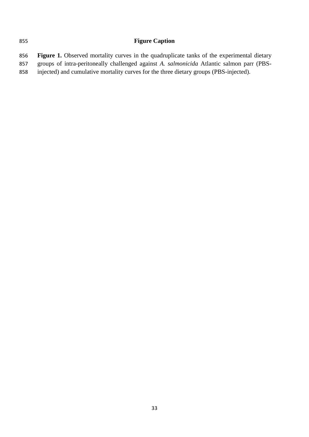# **Figure Caption**

 **Figure 1.** Observed mortality curves in the quadruplicate tanks of the experimental dietary groups of intra-peritoneally challenged against *A. salmonicida* Atlantic salmon parr (PBS-injected) and cumulative mortality curves for the three dietary groups (PBS-injected).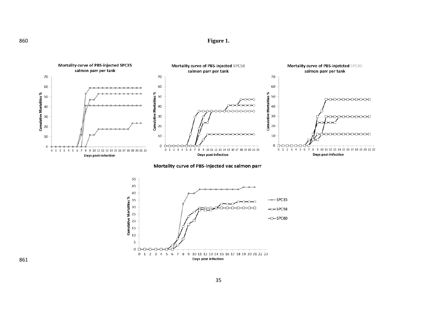**Figure 1.** 



Mortality curve of PBS-injected vac salmon parr

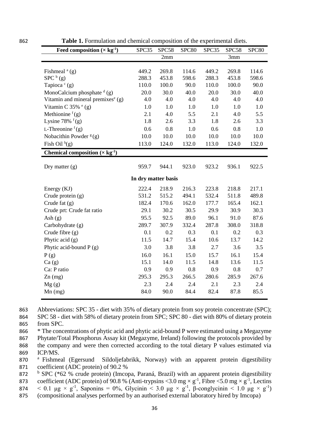| Feed composition $(\times$ kg <sup>-1</sup> )     | SPC35 | SPC58               | SPC80 | SPC35 | SPC58 | SPC <sub>80</sub> |
|---------------------------------------------------|-------|---------------------|-------|-------|-------|-------------------|
|                                                   |       | 2mm                 |       |       | 3mm   |                   |
|                                                   |       |                     |       |       |       |                   |
| Fishmeal $(a)$                                    | 449.2 | 269.8               | 114.6 | 449.2 | 269.8 | 114.6             |
| $SPC^{b}(g)$                                      | 288.3 | 453.8               | 598.6 | 288.3 | 453.8 | 598.6             |
| Tapioca $\circ$ (g)                               | 110.0 | 100.0               | 90.0  | 110.0 | 100.0 | 90.0              |
| MonoCalcium phosphate $\frac{d}{g}$ (g)           | 20.0  | 30.0                | 40.0  | 20.0  | 30.0  | 40.0              |
| Vitamin and mineral premixes <sup>e</sup> (g)     | 4.0   | 4.0                 | 4.0   | 4.0   | 4.0   | 4.0               |
| Vitamin C $35\%$ <sup>e</sup> (g)                 | 1.0   | 1.0                 | 1.0   | 1.0   | 1.0   | 1.0               |
| Methionine $f(g)$                                 | 2.1   | 4.0                 | 5.5   | 2.1   | 4.0   | 5.5               |
| Lysine 78% $f(g)$                                 | 1.8   | 2.6                 | 3.3   | 1.8   | 2.6   | 3.3               |
| L-Threonine $f(g)$                                | 0.6   | 0.8                 | 1.0   | 0.6   | 0.8   | 1.0               |
| Nobacithin Powder $g(g)$                          | 10.0  | 10.0                | 10.0  | 10.0  | 10.0  | 10.0              |
| Fish Oil $h(g)$                                   | 113.0 | 124.0               | 132.0 | 113.0 | 124.0 | 132.0             |
| Chemical composition $(\times$ kg <sup>-1</sup> ) |       |                     |       |       |       |                   |
|                                                   |       |                     |       |       |       |                   |
| Dry matter $(g)$                                  | 959.7 | 944.1               | 923.0 | 923.2 | 936.1 | 922.5             |
|                                                   |       | In dry matter basis |       |       |       |                   |
| Energy $(KJ)$                                     | 222.4 | 218.9               | 216.3 | 223.8 | 218.8 | 217.1             |
| Crude protein (g)                                 | 531.2 | 515.2               | 494.1 | 532.4 | 511.8 | 489.8             |
| Crude fat $(g)$                                   | 182.4 | 170.6               | 162.0 | 177.7 | 165.4 | 162.1             |
| Crude prt: Crude fat ratio                        | 29.1  | 30.2                | 30.5  | 29.9  | 30.9  | 30.3              |
| Ash $(g)$                                         | 95.5  | 92.5                | 89.0  | 96.1  | 91.0  | 87.6              |
| Carbohydrate (g)                                  | 289.7 | 307.9               | 332.4 | 287.8 | 308.0 | 318.8             |
| Crude fibre $(g)$                                 | 0.1   | 0.2                 | 0.3   | 0.1   | 0.2   | 0.3               |
| Phytic acid $(g)$                                 | 11.5  | 14.7                | 15.4  | 10.6  | 13.7  | 14.2              |
| Phytic acid-bound $P(g)$                          | 3.0   | 3.8                 | 3.8   | 2.7   | 3.6   | 3.5               |
| P(g)                                              | 16.0  | 16.1                | 15.0  | 15.7  | 16.1  | 15.4              |
|                                                   | 15.1  | 14.0                | 11.5  | 14.8  | 13.6  | 11.5              |
| Ca(g)<br>Ca: P ratio                              | 0.9   | 0.9                 | 0.8   | 0.9   | 0.8   | 0.7               |
|                                                   |       | 295.3               |       |       |       |                   |
| $Zn$ (mg)                                         | 295.3 |                     | 266.5 | 280.6 | 285.9 | 267.6             |
| Mg(g)                                             | 2.3   | 2.4                 | 2.4   | 2.1   | 2.3   | 2.4               |
| $Mn$ (mg)                                         | 84.0  | 90.0                | 84.4  | 82.4  | 87.8  | 85.5              |

862 **Table 1.** Formulation and chemical composition of the experimental diets.

863 Abbreviations: SPC 35 - diet with 35% of dietary protein from soy protein concentrate (SPC);

864 SPC 58 - diet with 58% of dietary protein from SPC; SPC 80 - diet with 80% of dietary protein 865 from SPC.

 \* The concentrations of phytic acid and phytic acid-bound P were estimated using a Megazyme Phytate/Total Phosphorus Assay kit (Megazyme, Ireland) following the protocols provided by the company and were then corrected according to the total dietary P values estimated via 869 ICP/MS.

870 <sup>a</sup> Fishmeal (Egersund Sildoljefabrikk, Norway) with an apparent protein digestibility 871 coefficient (ADC protein) of 90.2 %

872 <sup>b</sup> SPC (\*62 % crude protein) (Imcopa, Paraná, Brazil) with an apparent protein digestibility 873 coefficient (ADC protein) of 90.8 % (Anti-trypsins < 3.0 mg  $\times$  g<sup>-1</sup>, Fibre < 5.0 mg  $\times$  g<sup>-1</sup>, Lectins 874  $\leq$  0.1  $\mu$ g  $\times$  g<sup>-1</sup>, Saponins = 0%, Glycinin  $\leq$  3.0  $\mu$ g  $\times$  g<sup>-1</sup>, β-conglycinin  $\leq$  1.0  $\mu$ g  $\times$  g<sup>-1</sup>)

875 (compositional analyses performed by an authorised external laboratory hired by Imcopa)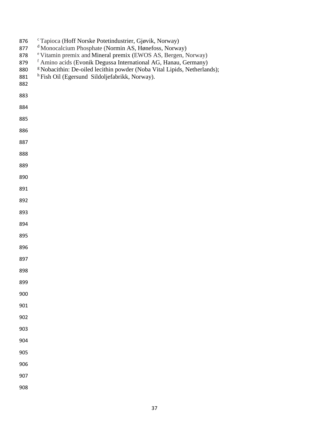| 876<br>877<br>878<br>879<br>880<br>881<br>882 | <sup>c</sup> Tapioca (Hoff Norske Potetindustrier, Gjøvik, Norway)<br><sup>d</sup> Monocalcium Phosphate (Normin AS, Hønefoss, Norway)<br>e Vitamin premix and Mineral premix (EWOS AS, Bergen, Norway)<br><sup>f</sup> Amino acids (Evonik Degussa International AG, Hanau, Germany)<br><sup>g</sup> Nobacithin: De-oiled lecithin powder (Noba Vital Lipids, Netherlands);<br><sup>h</sup> Fish Oil (Egersund Sildoljefabrikk, Norway). |
|-----------------------------------------------|-------------------------------------------------------------------------------------------------------------------------------------------------------------------------------------------------------------------------------------------------------------------------------------------------------------------------------------------------------------------------------------------------------------------------------------------|
| 883                                           |                                                                                                                                                                                                                                                                                                                                                                                                                                           |
| 884                                           |                                                                                                                                                                                                                                                                                                                                                                                                                                           |
| 885                                           |                                                                                                                                                                                                                                                                                                                                                                                                                                           |
| 886                                           |                                                                                                                                                                                                                                                                                                                                                                                                                                           |
| 887                                           |                                                                                                                                                                                                                                                                                                                                                                                                                                           |
| 888                                           |                                                                                                                                                                                                                                                                                                                                                                                                                                           |
| 889                                           |                                                                                                                                                                                                                                                                                                                                                                                                                                           |
| 890                                           |                                                                                                                                                                                                                                                                                                                                                                                                                                           |
| 891                                           |                                                                                                                                                                                                                                                                                                                                                                                                                                           |
| 892                                           |                                                                                                                                                                                                                                                                                                                                                                                                                                           |
| 893                                           |                                                                                                                                                                                                                                                                                                                                                                                                                                           |
| 894                                           |                                                                                                                                                                                                                                                                                                                                                                                                                                           |
| 895                                           |                                                                                                                                                                                                                                                                                                                                                                                                                                           |
| 896                                           |                                                                                                                                                                                                                                                                                                                                                                                                                                           |
| 897                                           |                                                                                                                                                                                                                                                                                                                                                                                                                                           |
| 898                                           |                                                                                                                                                                                                                                                                                                                                                                                                                                           |
| 899                                           |                                                                                                                                                                                                                                                                                                                                                                                                                                           |
| 900                                           |                                                                                                                                                                                                                                                                                                                                                                                                                                           |
| 901                                           |                                                                                                                                                                                                                                                                                                                                                                                                                                           |
| 902                                           |                                                                                                                                                                                                                                                                                                                                                                                                                                           |
| 903                                           |                                                                                                                                                                                                                                                                                                                                                                                                                                           |
| 904                                           |                                                                                                                                                                                                                                                                                                                                                                                                                                           |
| 905                                           |                                                                                                                                                                                                                                                                                                                                                                                                                                           |
| 906                                           |                                                                                                                                                                                                                                                                                                                                                                                                                                           |
| 907                                           |                                                                                                                                                                                                                                                                                                                                                                                                                                           |
| 908                                           |                                                                                                                                                                                                                                                                                                                                                                                                                                           |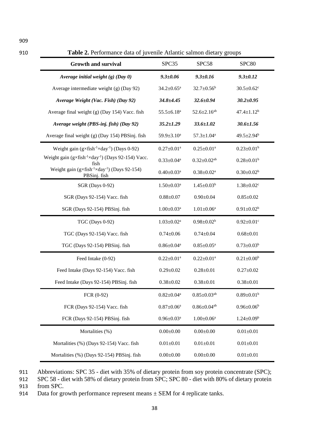|  |  | п |
|--|--|---|
|  |  |   |

909

910 **Table 2.** Performance data of juvenile Atlantic salmon dietary groups

| <b>Growth and survival</b>                                                       | SPC35                        | SPC58                         | SPC80                        |
|----------------------------------------------------------------------------------|------------------------------|-------------------------------|------------------------------|
| Average initial weight $(g)$ (Day 0)                                             | $9.3 \pm 0.06$               | $9.3 \pm 0.16$                | $9.3 \pm 0.12$               |
| Average intermediate weight (g) (Day 92)                                         | $34.2 \pm 0.65$ <sup>a</sup> | $32.7 \pm 0.56^b$             | $30.5 \pm 0.62$ <sup>c</sup> |
| Average Weight (Vac. Fish) (Day 92)                                              | $34.8 + 4.45$                | $32.6 \pm 0.94$               | $30.2 \pm 0.95$              |
| Average final weight (g) (Day 154) Vacc. fish                                    | $55.5 \pm 6.18$ <sup>a</sup> | $52.6 \pm 2.16$ <sup>ab</sup> | $47.4 \pm 1.12^b$            |
| Average weight (PBS-inj. fish) (Day 92)                                          | $35.2 \pm 1.29$              | $33.6 \pm 1.02$               | $30.6 \pm 1.56$              |
| Average final weight (g) (Day 154) PBSinj. fish                                  | 59.9±3.10 <sup>a</sup>       | $57.3 \pm 1.04^a$             | $49.5 \pm 2.94$ <sup>b</sup> |
| Weight gain $(g \times fish^{-1} \times day^{-1})$ (Days 0-92)                   | $0.27 \pm 0.01$ <sup>a</sup> | $0.25 \pm 0.01$ <sup>a</sup>  | $0.23 \pm 0.01^b$            |
| Weight gain $(g \times fish^{-1} \times day^{-1})$ (Days 92-154) Vacc.<br>fish   | $0.33 \pm 0.04^a$            | $0.32 \pm 0.02$ <sup>ab</sup> | $0.28 \pm 0.01^b$            |
| Weight gain $(g \times fish^{-1} \times day^{-1})$ (Days 92-154)<br>PBSinj. fish | $0.40 \pm 0.03$ <sup>a</sup> | $0.38 \pm 0.02^a$             | $0.30 \pm 0.02^b$            |
| <b>SGR</b> (Days 0-92)                                                           | $1.50 \pm 0.03$ <sup>a</sup> | $1.45 \pm 0.03^b$             | $1.38 \pm 0.02$ <sup>c</sup> |
| SGR (Days 92-154) Vacc. fish                                                     | $0.88 + 0.07$                | $0.90 \pm 0.04$               | $0.85 \pm 0.02$              |
| SGR (Days 92-154) PBSinj. fish                                                   | $1.00 \pm 0.03$ <sup>a</sup> | $1.01 \pm 0.06^a$             | $0.91 \pm 0.02^b$            |
| TGC (Days 0-92)                                                                  | $1.03 \pm 0.02^a$            | $0.98 \pm 0.02^b$             | $0.92 \pm 0.01$ <sup>c</sup> |
| TGC (Days 92-154) Vacc. fish                                                     | $0.74 \pm 0.06$              | $0.74 \pm 0.04$               | $0.68 + 0.01$                |
| TGC (Days 92-154) PBSinj. fish                                                   | $0.86 \pm 0.04^a$            | $0.85 \pm 0.05^a$             | $0.73 \pm 0.03^b$            |
| Feed Intake (0-92)                                                               | $0.22 \pm 0.01$ <sup>a</sup> | $0.22 \pm 0.01$ <sup>a</sup>  | $0.21 \pm 0.00^b$            |
| Feed Intake (Days 92-154) Vacc. fish                                             | $0.29 \pm 0.02$              | $0.28 \pm 0.01$               | $0.27 \pm 0.02$              |
| Feed Intake (Days 92-154) PBSinj. fish                                           | $0.38 + 0.02$                | $0.38 + 0.01$                 | $0.38 + 0.01$                |
| FCR (0-92)                                                                       | $0.82 \pm 0.04^a$            | $0.85 \pm 0.03$ <sup>ab</sup> | $0.89 \pm 0.01^b$            |
| FCR (Days 92-154) Vacc. fish                                                     | $0.87 \pm 0.06^a$            | $0.86 \pm 0.04$ <sup>ab</sup> | $0.96 \pm 0.06^b$            |
| FCR (Days 92-154) PBSinj. fish                                                   | $0.96 \pm 0.03$ <sup>a</sup> | $1.00\pm0.06^{\mathrm{a}}$    | $1.24 \pm 0.09^b$            |
| Mortalities (%)                                                                  | $0.00\pm0.00$                | $0.00\pm0.00$                 | $0.01 + 0.01$                |
| Mortalities (%) (Days 92-154) Vacc. fish                                         | $0.01 \pm 0.01$              | $0.01 \pm 0.01$               | $0.01 \pm 0.01$              |
| Mortalities (%) (Days 92-154) PBSinj. fish                                       | $0.00\pm0.00$                | $0.00\pm0.00$                 | $0.01 \pm 0.01$              |

911 Abbreviations: SPC 35 - diet with 35% of dietary protein from soy protein concentrate (SPC);

912 SPC 58 - diet with 58% of dietary protein from SPC; SPC 80 - diet with 80% of dietary protein 913 from SPC.

914 Data for growth performance represent means  $\pm$  SEM for 4 replicate tanks.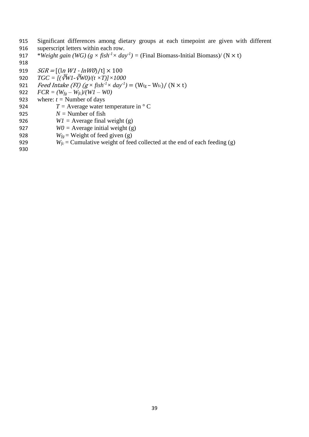- 915 Significant differences among dietary groups at each timepoint are given with different 916 superscript letters within each row.
- 917 *\*Weight gain (WG)*  $(g \times fish^{-1} \times day^{-1})$  = (Final Biomass-Initial Biomass)/ (N  $\times$  t)
- 918

919  $SGR = [(\ln W1 - \ln W0)/t] \times 100$ 

- 920  $TGC = \int (\sqrt[3]{W} \sqrt[3]{W} \sqrt{V} \sqrt{V} \times T) \times 1000$
- 921 *Feed Intake (FI) (g*  $\times$  *fish<sup>-1</sup>* $\times$  *day<sup>-1</sup>)* = (W<sub>fg</sub> W<sub>fc</sub>)/ (N  $\times$  t)
- 922  $FCR = (W_{fg} W_{fc})/(WI W0)$
- 923 where:  $t =$  Number of days
- 924  $T =$  Average water temperature in  $\degree$  C
- 925  $N =$  Number of fish
- 926 *W1* = Average final weight (g)
- 927 *W0 =* Average initial weight (g)
- 928 *W<sub>fg</sub>* = Weight of feed given (g)
- 929 *W<sub>fc</sub>* = Cumulative weight of feed collected at the end of each feeding (g)
- 930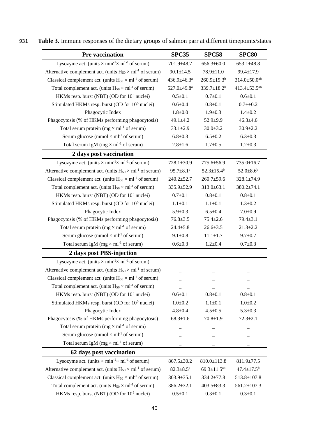| <b>Pre vaccination</b>                                                              | <b>SPC35</b>            | <b>SPC58</b>                  | <b>SPC80</b>                   |
|-------------------------------------------------------------------------------------|-------------------------|-------------------------------|--------------------------------|
| Lysozyme act. (units $\times$ min <sup>-1</sup> $\times$ ml <sup>-1</sup> of serum) | 701.9±48.7              | $656.3 \pm 60.0$              | $653.1 \pm 48.8$               |
| Alternative complement act. (units $H_{50} \times ml^{-1}$ of serum)                | $90.1 \pm 14.5$         | $78.9 \pm 11.0$               | $99.4 \pm 17.9$                |
| Classical complement act. (units $H_{50} \times ml^{-1}$ of serum)                  | $436.9 \pm 46.3^a$      | $260.9 \pm 19.3$ <sup>b</sup> | $314.0 \pm 50.0$ <sup>ab</sup> |
| Total complement act. (units $H_{50} \times ml^{-1}$ of serum)                      | 527.0±49.8 <sup>a</sup> | 339.7 $\pm$ 18.2 <sup>b</sup> | 413.4 $\pm$ 53.5 <sup>ab</sup> |
| HKMs resp. burst (NBT) (OD for 10 <sup>5</sup> nuclei)                              | $0.5 + 0.1$             | $0.7 + 0.1$                   | $0.6 + 0.1$                    |
| Stimulated HKMs resp. burst (OD for 10 <sup>5</sup> nuclei)                         | $0.6 + 0.4$             | $0.8 + 0.1$                   | $0.7 + 0.2$                    |
| Phagocytic Index                                                                    | $1.8 + 0.0$             | $1.9 \pm 0.3$                 | $1.4 + 0.2$                    |
| Phagocytosis (% of HKMs performing phagocytosis)                                    | $49.1 \pm 4.2$          | $52.9 + 9.9$                  | $46.3 \pm 4.6$                 |
| Total serum protein ( $mg \times ml^{-1}$ of serum)                                 | $33.1 \pm 2.9$          | $30.0 \pm 3.2$                | $30.9 \pm 2.2$                 |
| Serum glucose (mmol $\times$ ml <sup>-1</sup> of serum)                             | $6.8 + 0.3$             | $6.5 \pm 0.2$                 | $6.3 \pm 0.3$                  |
| Total serum IgM ( $mg \times ml^{-1}$ of serum)                                     | $2.8 + 1.6$             | $1.7 + 0.5$                   | $1.2 \pm 0.3$                  |
| 2 days post vaccination                                                             |                         |                               |                                |
| Lysozyme act. (units $\times$ min <sup>-1</sup> $\times$ ml <sup>-1</sup> of serum) | $728.1 \pm 30.9$        | 775.6±56.9                    | 735.0±16.7                     |
| Alternative complement act. (units $H_{50} \times ml^{-1}$ of serum)                | $95.7 \pm 8.1^a$        | $52.3 \pm 15.4^b$             | $52.0 \pm 8.6^b$               |
| Classical complement act. (units $H_{50} \times ml^{-1}$ of serum)                  | $240.2 \pm 52.7$        | $260.7 \pm 59.6$              | $328.1 \pm 74.9$               |
| Total complement act. (units $H_{50} \times ml^{-1}$ of serum)                      | 335.9±52.9              | $313.0 \pm 63.1$              | $380.2 \pm 74.1$               |
| HKMs resp. burst (NBT) (OD for 10 <sup>5</sup> nuclei)                              | $0.7 \pm 0.1$           | $0.8 + 0.1$                   | $0.8 + 0.1$                    |
| Stimulated HKMs resp. burst (OD for 10 <sup>5</sup> nuclei)                         | $1.1 \pm 0.1$           | $1.1 \pm 0.1$                 | $1.3 + 0.2$                    |
| Phagocytic Index                                                                    | $5.9 \pm 0.3$           | $6.5 \pm 0.4$                 | $7.0 \pm 0.9$                  |
| Phagocytosis (% of HKMs performing phagocytosis)                                    | $76.8 + 3.5$            | $75.4 + 2.6$                  | $79.4 \pm 3.1$                 |
| Total serum protein ( $mg \times ml^{-1}$ of serum)                                 | $24.4 + 5.8$            | $26.6 \pm 3.5$                | $21.3 \pm 2.2$                 |
| Serum glucose (mmol $\times$ ml <sup>-1</sup> of serum)                             | $9.1 \pm 0.8$           | $11.1 \pm 1.7$                | $9.7 \pm 0.7$                  |
| Total serum IgM ( $mg \times ml^{-1}$ of serum)                                     | $0.6 + 0.3$             | $1.2 \pm 0.4$                 | $0.7 + 0.3$                    |
| 2 days post PBS-injection                                                           |                         |                               |                                |
| Lysozyme act. (units $\times$ min <sup>-1</sup> $\times$ ml <sup>-1</sup> of serum) |                         |                               |                                |
| Alternative complement act. (units $H_{50} \times ml^{-1}$ of serum)                |                         |                               |                                |
| Classical complement act. (units $H_{50} \times ml^{-1}$ of serum)                  |                         |                               |                                |
| Total complement act. (units $H_{50} \times ml^{-1}$ of serum)                      |                         |                               |                                |
| HKMs resp. burst (NBT) (OD for 10 <sup>5</sup> nuclei)                              | $0.6 + 0.1$             | $0.8 + 0.1$                   | $0.8 + 0.1$                    |
| Stimulated HKMs resp. burst (OD for 10 <sup>5</sup> nuclei)                         | $1.0 + 0.2$             | $1.1 \pm 0.1$                 | $1.0 + 0.2$                    |
| Phagocytic Index                                                                    | $4.8 + 0.4$             | $4.5 \pm 0.5$                 | $5.3 \pm 0.3$                  |
| Phagocytosis (% of HKMs performing phagocytosis)                                    | $68.3 \pm 1.6$          | $70.8 + 1.9$                  | $72.3 \pm 2.1$                 |
| Total serum protein ( $mg \times ml^{-1}$ of serum)                                 |                         |                               |                                |
| Serum glucose (mmol $\times$ ml <sup>-1</sup> of serum)                             |                         |                               |                                |
| Total serum IgM ( $mg \times ml^{-1}$ of serum)                                     |                         |                               |                                |
| 62 days post vaccination                                                            |                         |                               |                                |
| Lysozyme act. (units $\times$ min <sup>-1</sup> $\times$ ml <sup>-1</sup> of serum) | $867.5 \pm 30.2$        | $810.0 \pm 113.8$             | $811.9 \pm 77.5$               |
| Alternative complement act. (units $H_{50} \times ml^{-1}$ of serum)                | $82.3 \pm 8.5^{\rm a}$  | $69.3 \pm 11.5^{ab}$          | $47.4 \pm 17.5^{\rm b}$        |
| Classical complement act. (units $H_{50} \times ml^{-1}$ of serum)                  | $303.9 \pm 35.1$        | $334.2 \pm 77.8$              | 513.8±107.8                    |
| Total complement act. (units $H_{50} \times ml^{-1}$ of serum)                      | $386.2 \pm 32.1$        | $403.5 \pm 83.3$              | $561.2 \pm 107.3$              |
| HKMs resp. burst (NBT) (OD for 10 <sup>5</sup> nuclei)                              | $0.5 \pm 0.1$           | $0.3 + 0.1$                   | $0.3 \pm 0.1$                  |

931 **Table 3.** Immune responses of the dietary groups of salmon parr at different timepoints/states